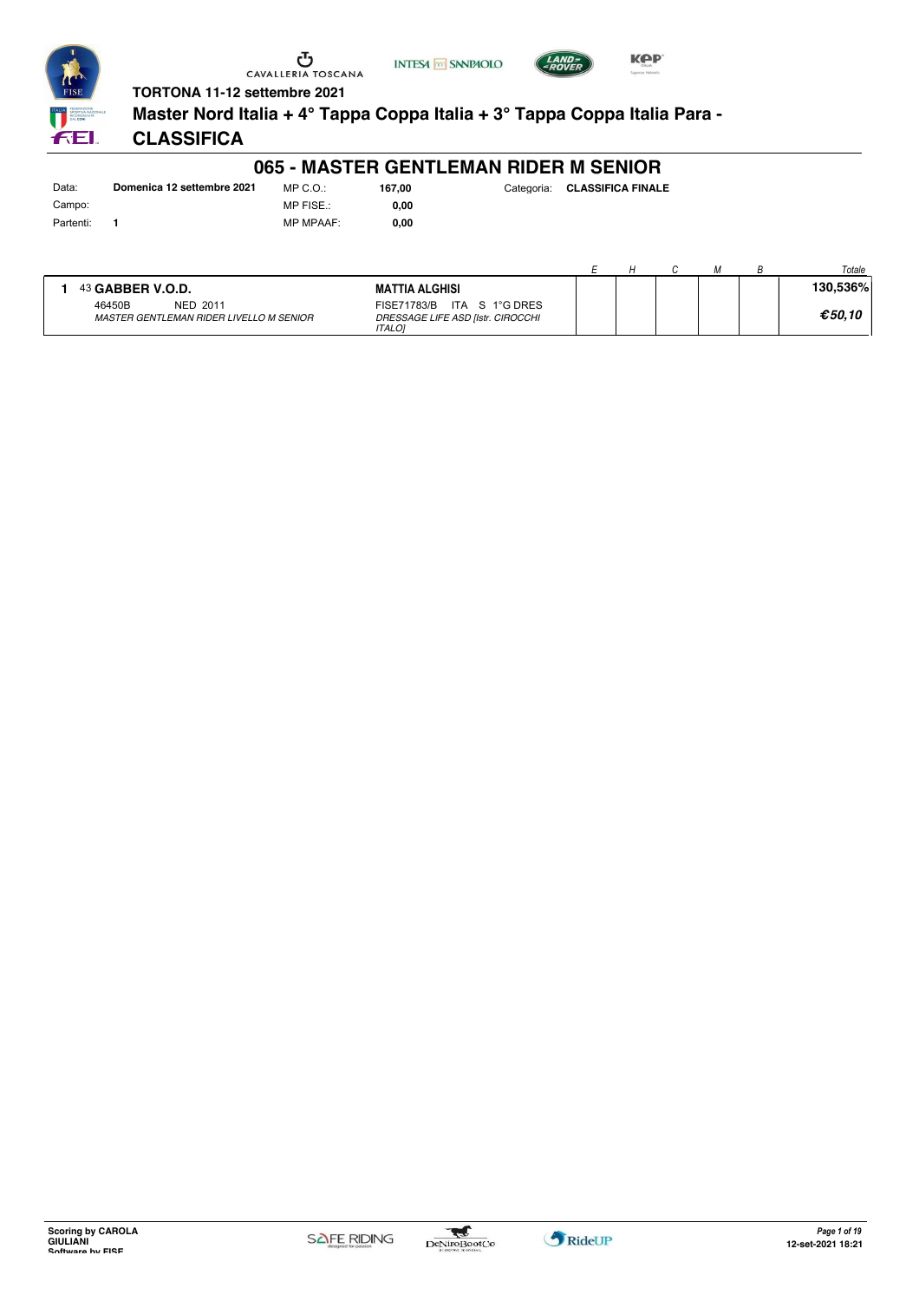



FEI.

# **TORTONA 11-12 settembre 2021**

**Master Nord Italia + 4° Tappa Coppa Italia + 3° Tappa Coppa Italia Para -**

#### **CLASSIFICA**

#### **065 - MASTER GENTLEMAN RIDER M SENIOR**

Data: **Domenica 12 settembre 2021** Campo: Partenti: **1**

MP C.O.: MP FISE.: MP MPAAF: **0,00**

**0,00 167,00** 

| Categoria: CLASSIFICA FINALE |
|------------------------------|
|                              |

|                                                                      |                                                                                     |  |  | Totale   |
|----------------------------------------------------------------------|-------------------------------------------------------------------------------------|--|--|----------|
| 43 GABBER V.O.D.                                                     | <b>MATTIA ALGHISI</b>                                                               |  |  | 130,536% |
| <b>NED 2011</b><br>46450B<br>MASTER GENTLEMAN RIDER LIVELLO M SENIOR | ITA S 1°G DRES<br>FISE71783/B<br>DRESSAGE LIFE ASD [Istr. CIROCCHI<br><b>ITALOI</b> |  |  | €50.10   |

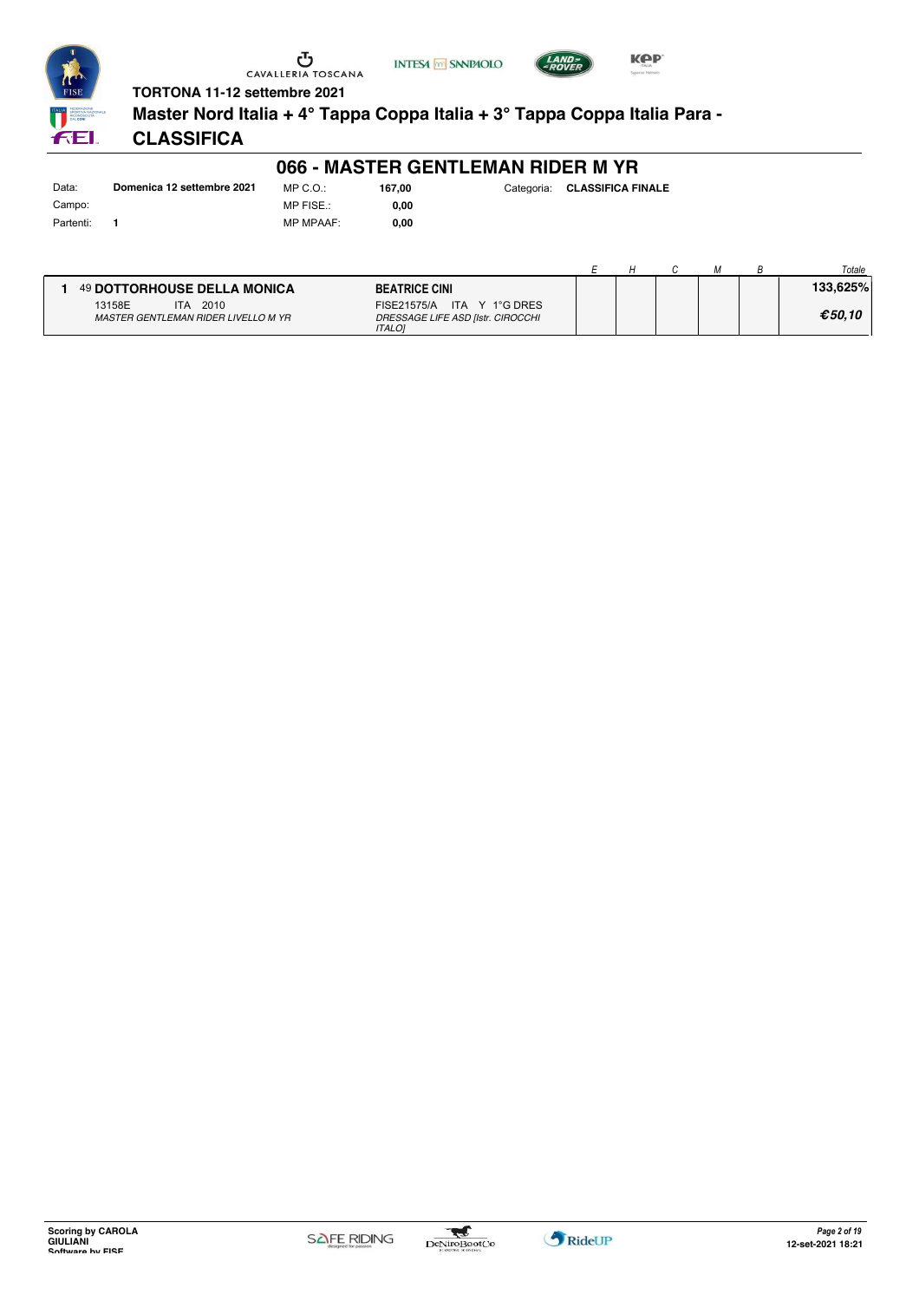





FEI.

# **TORTONA 11-12 settembre 2021**

**Master Nord Italia + 4° Tappa Coppa Italia + 3° Tappa Coppa Italia Para -**

# **CLASSIFICA**

#### **066 - MASTER GENTLEMAN RIDER M YR**

Data: **Domenica 12 settembre 2021** Campo: Partenti: **1**

MP C.O.: MP FISE.: MP MPAAF: **0,00 167,00** 

**0,00**

| Categoria: | <b>CLASSIFICA FINALE</b> |
|------------|--------------------------|
|            |                          |

|                                                               |                                                                                  |  |  | Totale   |
|---------------------------------------------------------------|----------------------------------------------------------------------------------|--|--|----------|
| 49 DOTTORHOUSE DELLA MONICA                                   | <b>BEATRICE CINI</b>                                                             |  |  | 133.625% |
| 2010<br>13158E<br>ITA.<br>MASTER GENTLEMAN RIDER LIVELLO M YR | FISE21575/A ITA Y 1°G DRES<br>DRESSAGE LIFE ASD [Istr. CIROCCHI<br><b>ITALOI</b> |  |  | €50.10   |

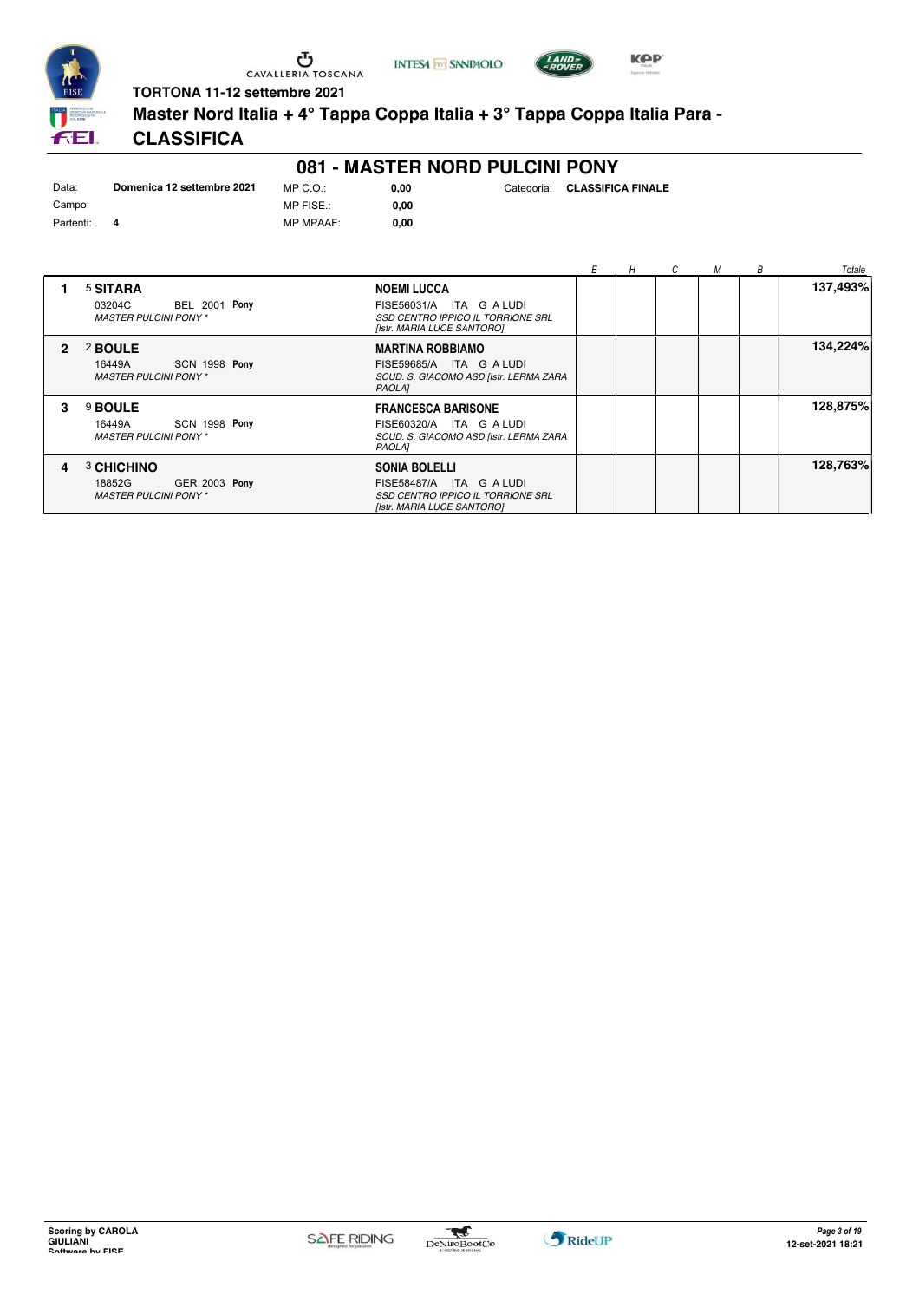

**INTESA** M SANPAOLO



**TORTONA 11-12 settembre 2021**

**Master Nord Italia + 4° Tappa Coppa Italia + 3° Tappa Coppa Italia Para -**

# **CLASSIFICA**

#### **081 - MASTER NORD PULCINI PONY**

| Data:     | Domenica 12 settembre 2021 | MP C. O.       |
|-----------|----------------------------|----------------|
| Campo:    |                            | MP FISE.:      |
| Partenti: |                            | <b>MP MPAA</b> |

MP MPAAF: **0,00 0,00** Categoria: **CLASSIFICA FINALE**

**0,00**

|                |                                                                                                                                                                                                           | Е | H | C | M | В | Totale   |
|----------------|-----------------------------------------------------------------------------------------------------------------------------------------------------------------------------------------------------------|---|---|---|---|---|----------|
|                | <sup>5</sup> SITARA<br><b>NOEMI LUCCA</b><br><b>BEL 2001 Pony</b><br>FISE56031/A ITA G A LUDI<br>03204C<br><b>MASTER PULCINI PONY*</b><br>SSD CENTRO IPPICO IL TORRIONE SRL<br>[Istr. MARIA LUCE SANTORO] |   |   |   |   |   | 137,493% |
| $\overline{2}$ | 2 BOULE<br><b>MARTINA ROBBIAMO</b><br>SCN 1998 Pony<br>FISE59685/A ITA G A LUDI<br>16449A<br><b>MASTER PULCINI PONY*</b><br>SCUD. S. GIACOMO ASD [Istr. LERMA ZARA<br><b>PAOLA1</b>                       |   |   |   |   |   | 134,224% |
| 3              | 9 BOULE<br><b>FRANCESCA BARISONE</b><br>SCN 1998 Pony<br>FISE60320/A ITA G A LUDI<br>16449A<br><b>MASTER PULCINI PONY*</b><br>SCUD. S. GIACOMO ASD [Istr. LERMA ZARA<br>PAOLA]                            |   |   |   |   |   | 128,875% |
| 4              | 3 CHICHINO<br><b>SONIA BOLELLI</b><br><b>GER 2003 Pony</b><br>18852G<br>FISE58487/A ITA G A LUDI<br><b>MASTER PULCINI PONY*</b><br>SSD CENTRO IPPICO IL TORRIONE SRL<br>[Istr. MARIA LUCE SANTORO]        |   |   |   |   |   | 128,763% |

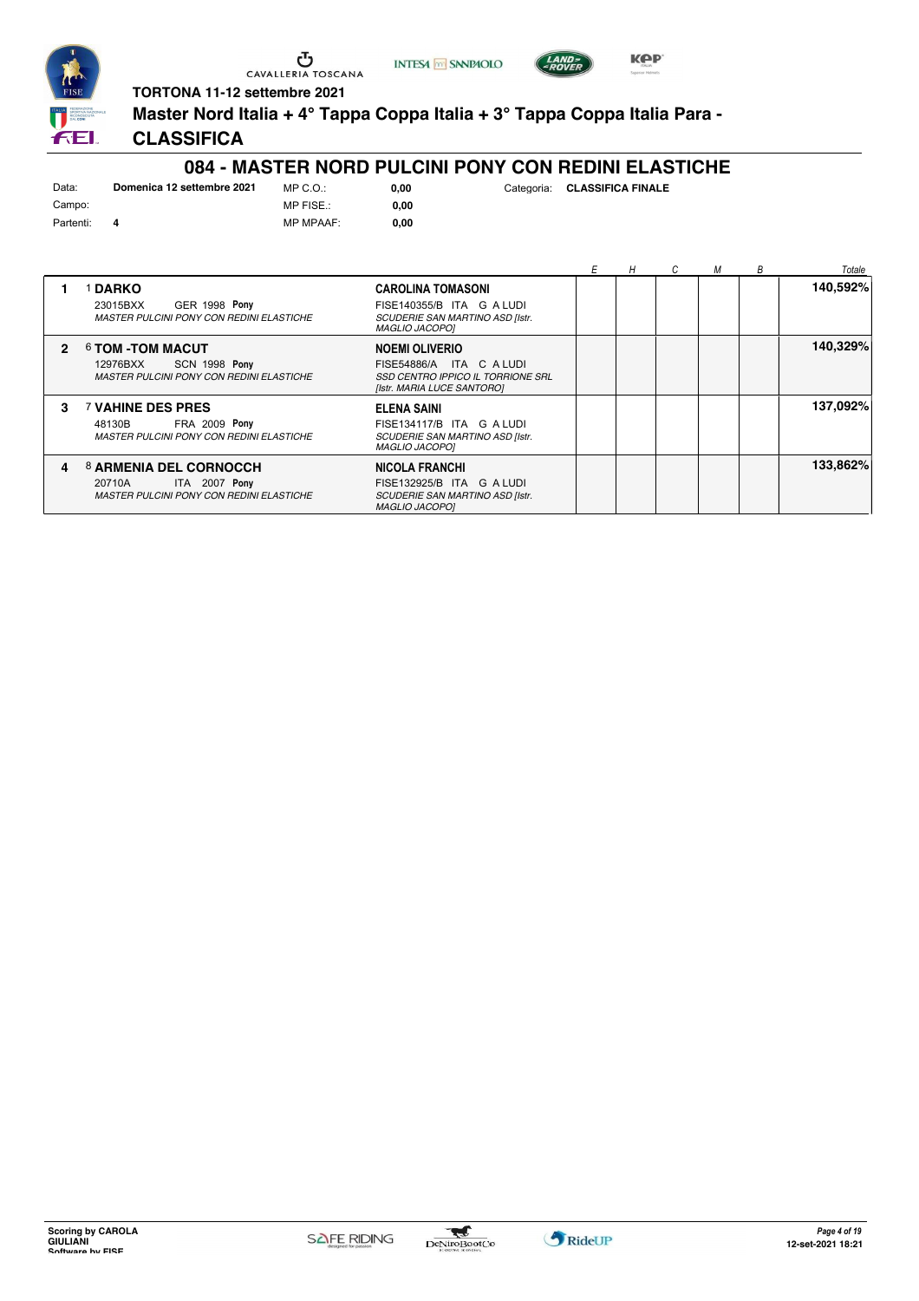





**TORTONA 11-12 settembre 2021**

**Master Nord Italia + 4° Tappa Coppa Italia + 3° Tappa Coppa Italia Para -**

### **CLASSIFICA**

#### **084 - MASTER NORD PULCINI PONY CON REDINI ELASTICHE**

| Data:     | Domenica 12 settembre 2021 | $MP C. Q$ .:   |
|-----------|----------------------------|----------------|
| Campo:    |                            | MP FISE.:      |
| Partenti: |                            | <b>MP MPAA</b> |

MP MPAAF: **0,00 0,00**

|                |                                                                                                        |                                                                                                                        |  | M | B | Totale   |
|----------------|--------------------------------------------------------------------------------------------------------|------------------------------------------------------------------------------------------------------------------------|--|---|---|----------|
|                | <b>DARKO</b><br>GER 1998 Pony<br>23015BXX<br><b>MASTER PULCINI PONY CON REDINI ELASTICHE</b>           | <b>CAROLINA TOMASONI</b><br>FISE140355/B ITA G A LUDI<br>SCUDERIE SAN MARTINO ASD [Istr.<br><b>MAGLIO JACOPO1</b>      |  |   |   | 140,592% |
| $\mathfrak{p}$ | 6 TOM -TOM MACUT<br>SCN 1998 Pony<br>12976BXX<br><b>MASTER PULCINI PONY CON REDINI ELASTICHE</b>       | <b>NOEMI OLIVERIO</b><br>ITA C ALUDI<br>FISE54886/A<br>SSD CENTRO IPPICO IL TORRIONE SRL<br>[Istr. MARIA LUCE SANTORO] |  |   |   | 140,329% |
| 3              | <b>7 VAHINE DES PRES</b><br><b>FRA 2009 Pony</b><br>48130B<br>MASTER PULCINI PONY CON REDINI ELASTICHE | ELENA SAINI<br>FISE134117/B ITA G A LUDI<br>SCUDERIE SAN MARTINO ASD [Istr.<br><b>MAGLIO JACOPO1</b>                   |  |   |   | 137,092% |
| 4              | 8 ARMENIA DEL CORNOCCH<br>ITA 2007 Pony<br>20710A<br><b>MASTER PULCINI PONY CON REDINI ELASTICHE</b>   | <b>NICOLA FRANCHI</b><br>FISE132925/B ITA G A LUDI<br>SCUDERIE SAN MARTINO ASD [Istr.<br><b>MAGLIO JACOPO1</b>         |  |   |   | 133,862% |

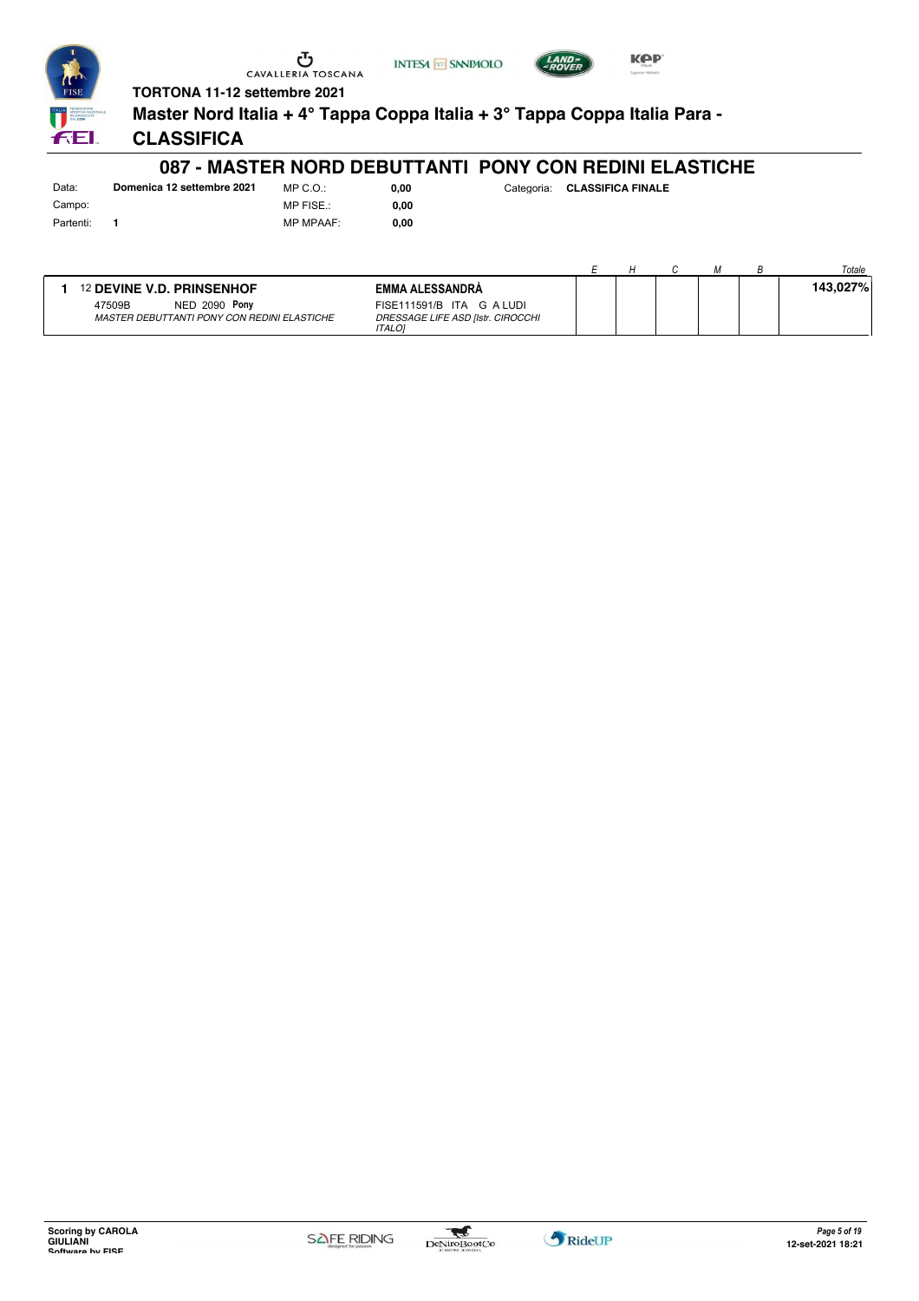



**Master Nord Italia + 4° Tappa Coppa Italia + 3° Tappa Coppa Italia Para -**

**INTESA** M SANPAOLO

**0,00**

**CLASSIFICA**

#### **087 - MASTER NORD DEBUTTANTI PONY CON REDINI ELASTICHE**

Data: **Domenica 12 settembre 2021** Campo: Partenti: **1**

MP C.O.: MP FISE.: MP MPAAF: **0,00**

**0,00** Categoria: **CLASSIFICA FINALE**

**KPP** 

|                                             |                                                    |  |  | Totale   |
|---------------------------------------------|----------------------------------------------------|--|--|----------|
| <sup>12</sup> DEVINE V.D. PRINSENHOF        | <b>EMMA ALESSANDRA</b>                             |  |  | 143,027% |
| 47509B<br>NED 2090 Pony                     | FISE111591/B ITA G A LUDI                          |  |  |          |
| MASTER DEBUTTANTI PONY CON REDINI ELASTICHE | DRESSAGE LIFE ASD [Istr. CIROCCHI<br><b>ITALOI</b> |  |  |          |

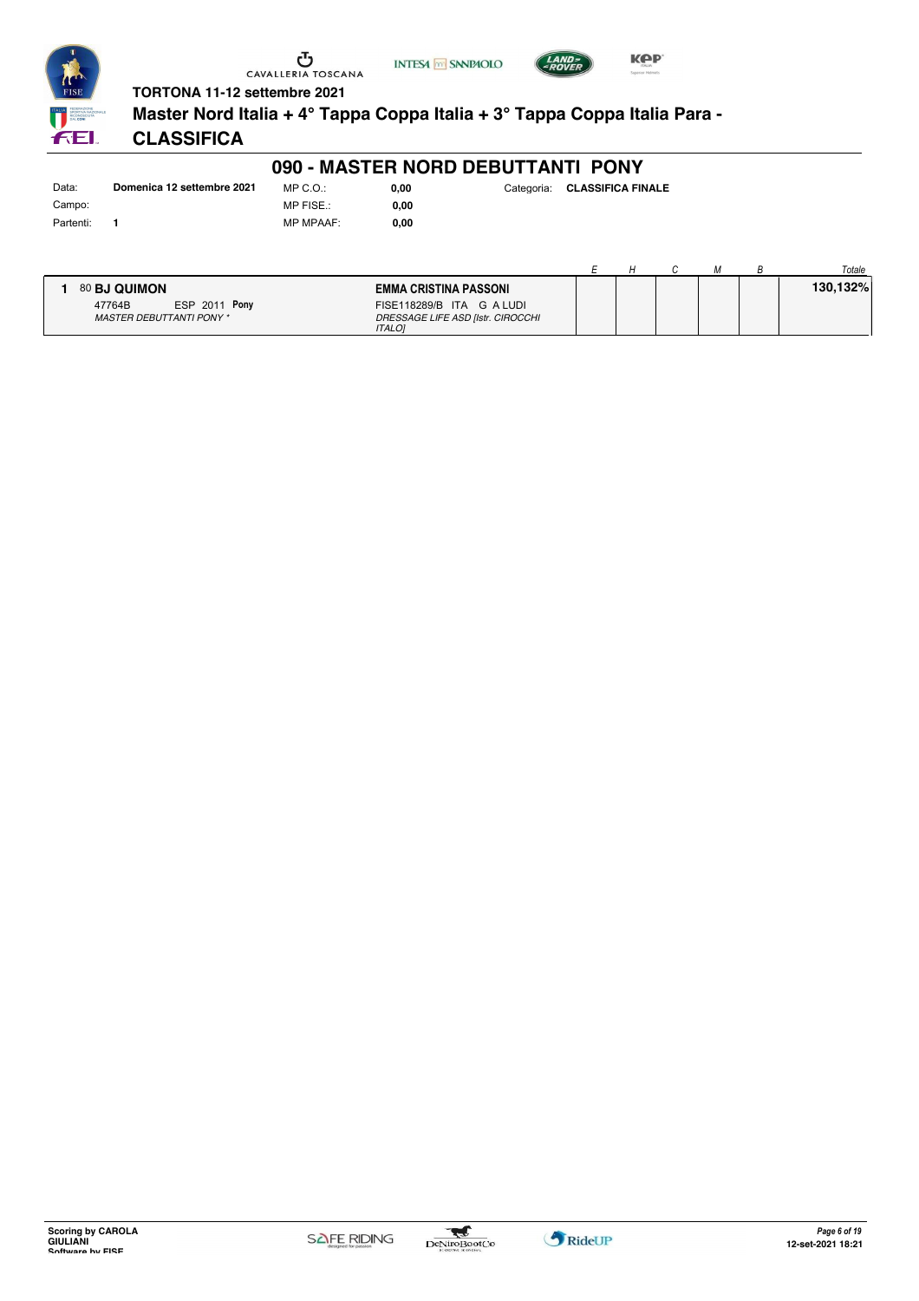





**Master Nord Italia + 4° Tappa Coppa Italia + 3° Tappa Coppa Italia Para -**

# **CLASSIFICA**

#### **090 - MASTER NORD DEBUTTANTI PONY**

Data: **Domenica 12 settembre 2021** Campo: Partenti: **1**

FEI.

MP C.O.: MP FISE.: MP MPAAF: **0,00**

|                                 |                      |                                   |  |  | Totale   |
|---------------------------------|----------------------|-----------------------------------|--|--|----------|
| 80 BJ QUIMON                    |                      | EMMA CRISTINA PASSONI             |  |  | 130.132% |
| 47764B                          | <b>ESP 2011 Pony</b> | FISE118289/B ITA G A LUDI         |  |  |          |
| <b>MASTER DEBUTTANTI PONY *</b> |                      | DRESSAGE LIFE ASD [Istr. CIROCCHI |  |  |          |
|                                 |                      | <b>ITALOI</b>                     |  |  |          |

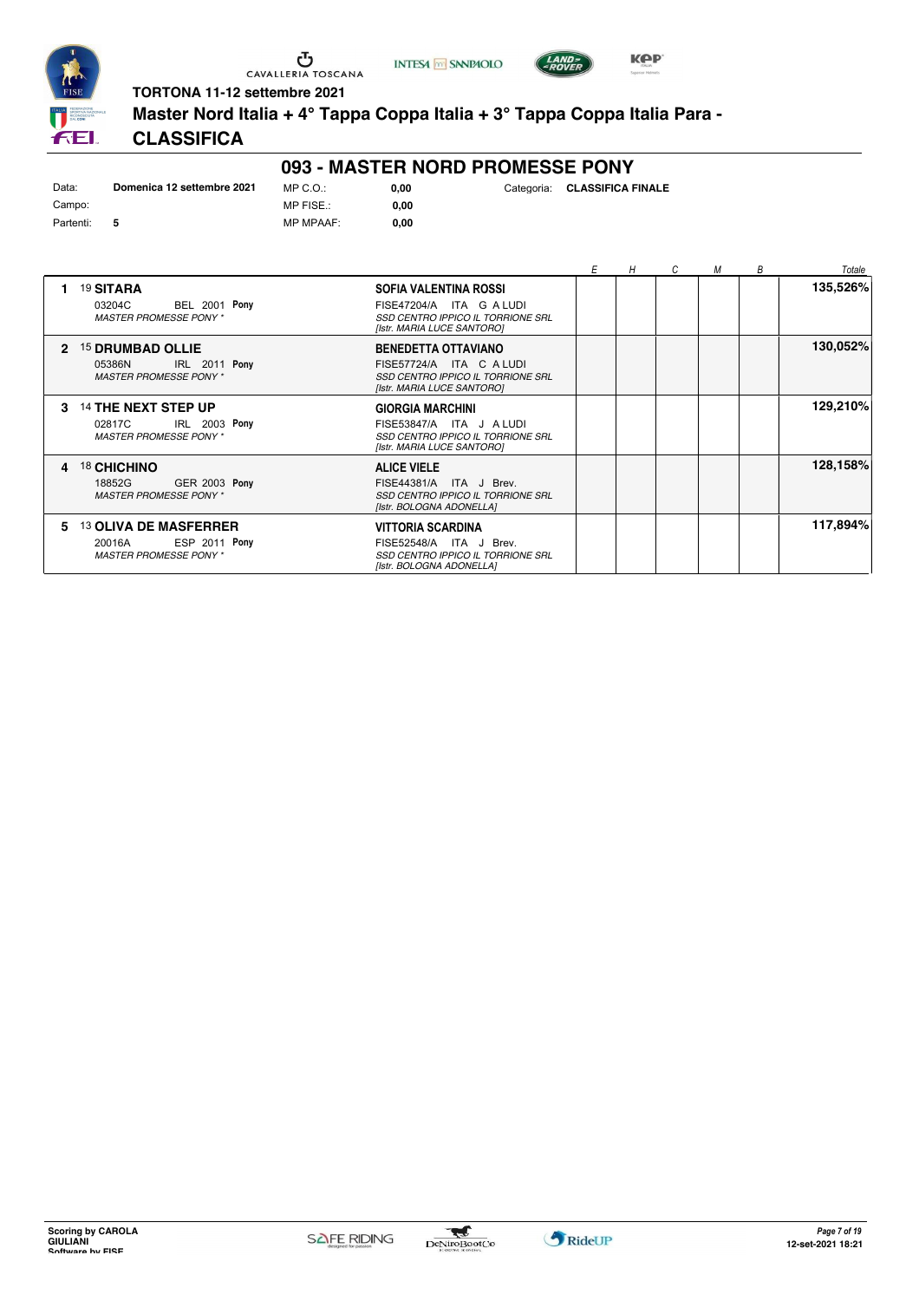

**INTESA** M SANPAOLO



**TORTONA 11-12 settembre 2021**

**Master Nord Italia + 4° Tappa Coppa Italia + 3° Tappa Coppa Italia Para -**

# **CLASSIFICA**

#### **093 - MASTER NORD PROMESSE PONY**

| Data:     | Domenica 12 settembre 2021 | $MPCO \cdot$     |
|-----------|----------------------------|------------------|
| Campo:    |                            | MP FISE.:        |
| Partenti: | 5                          | <b>MP MPAAF:</b> |

**0,00** Categoria: **CLASSIFICA FINALE**

 $0,00$ **0,00**

|    |                                                                                                |                                                                                                                           | E | H | C | М | В | Totale   |
|----|------------------------------------------------------------------------------------------------|---------------------------------------------------------------------------------------------------------------------------|---|---|---|---|---|----------|
|    | 19 SITARA<br><b>BEL 2001 Pony</b><br>03204C<br><b>MASTER PROMESSE PONY*</b>                    | SOFIA VALENTINA ROSSI<br>FISE47204/A ITA G A LUDI<br>SSD CENTRO IPPICO IL TORRIONE SRL<br>[Istr. MARIA LUCE SANTORO]      |   |   |   |   |   | 135,526% |
| 2  | <sup>15</sup> DRUMBAD OLLIE<br>IRL 2011 Pony<br>05386N<br><b>MASTER PROMESSE PONY*</b>         | <b>BENEDETTA OTTAVIANO</b><br>FISE57724/A ITA C A LUDI<br>SSD CENTRO IPPICO IL TORRIONE SRL<br>[Istr. MARIA LUCE SANTORO] |   |   |   |   |   | 130,052% |
| 3  | 14 THE NEXT STEP UP<br>02817C<br>IRL 2003 Pony<br><b>MASTER PROMESSE PONY*</b>                 | <b>GIORGIA MARCHINI</b><br>FISE53847/A ITA J ALUDI<br>SSD CENTRO IPPICO IL TORRIONE SRL<br>[Istr. MARIA LUCE SANTORO]     |   |   |   |   |   | 129,210% |
| 4  | 18 CHICHINO<br><b>GER 2003 Pony</b><br>18852G<br><b>MASTER PROMESSE PONY*</b>                  | <b>ALICE VIELE</b><br>FISE44381/A ITA J Brev.<br>SSD CENTRO IPPICO IL TORRIONE SRL<br>[Istr. BOLOGNA ADONELLA]            |   |   |   |   |   | 128,158% |
| 5. | <b>13 OLIVA DE MASFERRER</b><br><b>ESP 2011 Pony</b><br>20016A<br><b>MASTER PROMESSE PONY*</b> | <b>VITTORIA SCARDINA</b><br>FISE52548/A ITA J Brev.<br>SSD CENTRO IPPICO IL TORRIONE SRL<br>[Istr. BOLOGNA ADONELLA]      |   |   |   |   |   | 117,894% |

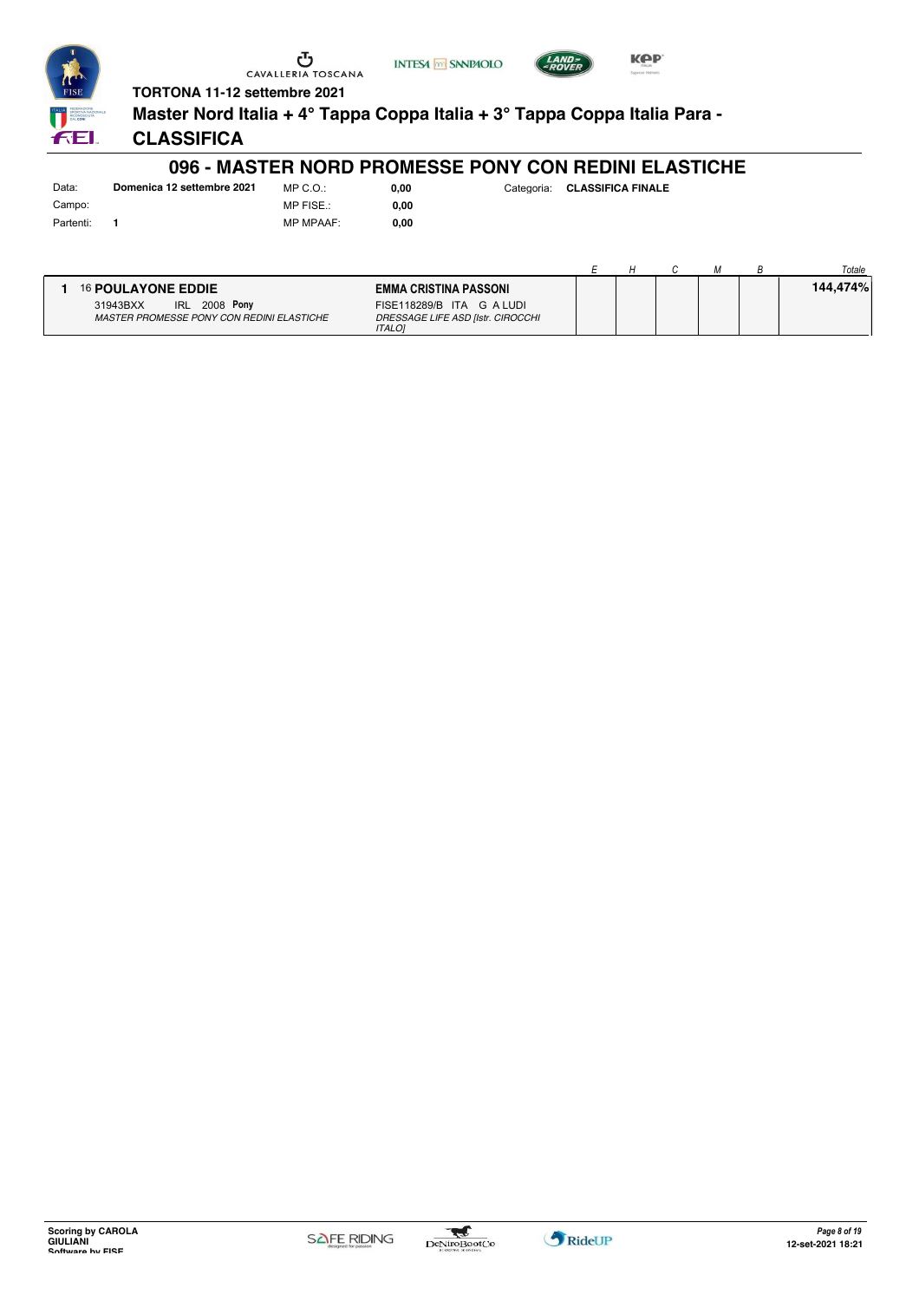





**Master Nord Italia + 4° Tappa Coppa Italia + 3° Tappa Coppa Italia Para -**

**CLASSIFICA**

#### **096 - MASTER NORD PROMESSE PONY CON REDINI ELASTICHE**

Campo: Partenti: **1**

FEI.

Data: **Domenica 12 settembre 2021** MP C.O.: MP FISE.: MP MPAAF: **0,00**

**0,00**

|                                           |                                   |  |  | Totale   |
|-------------------------------------------|-----------------------------------|--|--|----------|
| 16 POULAYONE EDDIE                        | EMMA CRISTINA PASSONI             |  |  | 144,474% |
| <b>IRL 2008 Pony</b><br>31943BXX          | FISE118289/B ITA G A LUDI         |  |  |          |
| MASTER PROMESSE PONY CON REDINI ELASTICHE | DRESSAGE LIFE ASD [Istr. CIROCCHI |  |  |          |
|                                           | <b>ITALOI</b>                     |  |  |          |

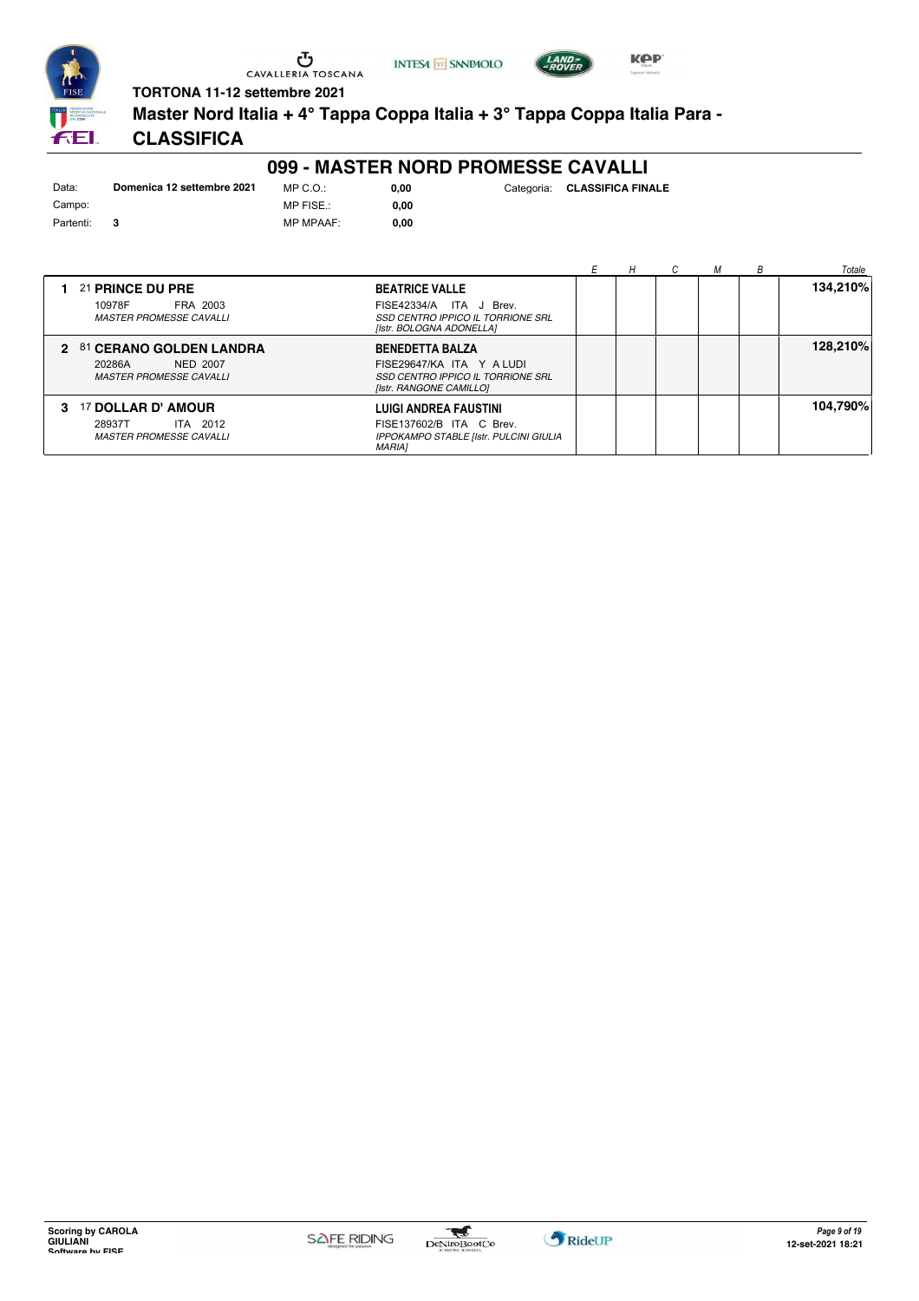



**Master Nord Italia + 4° Tappa Coppa Italia + 3° Tappa Coppa Italia Para -**

# **CLASSIFICA**

# **099 - MASTER NORD PROMESSE CAVALLI**

| Data:     | Domenica 12 settembre 2021 | MP C. O.       |
|-----------|----------------------------|----------------|
| Campo:    |                            | MP FISE.:      |
| Partenti: |                            | <b>MP MPAA</b> |

MP MPAAF: **0,00 0,00**

| 0.00 | Categoria: | <b>CLASSIFICA FINALE</b> |
|------|------------|--------------------------|
|      |            |                          |

|                                                                                   |                                                                                                                     |  |  | Totale   |
|-----------------------------------------------------------------------------------|---------------------------------------------------------------------------------------------------------------------|--|--|----------|
| 21 PRINCE DU PRE<br>10978F<br>FRA 2003<br><b>MASTER PROMESSE CAVALLI</b>          | <b>BEATRICE VALLE</b><br>FISE42334/A ITA J Brev.<br>SSD CENTRO IPPICO IL TORRIONE SRL<br>[Istr. BOLOGNA ADONELLA]   |  |  | 134.210% |
| 2 81 CERANO GOLDEN LANDRA<br>20286A<br>NED 2007<br><b>MASTER PROMESSE CAVALLI</b> | <b>BENEDETTA BALZA</b><br>FISE29647/KA ITA Y ALUDI<br>SSD CENTRO IPPICO IL TORRIONE SRL<br>[Istr. RANGONE CAMILLO]  |  |  | 128,210% |
| 3 17 DOLLAR D' AMOUR<br>28937T<br>ITA 2012<br><b>MASTER PROMESSE CAVALLI</b>      | <b>LUIGI ANDREA FAUSTINI</b><br>FISE137602/B ITA C Brev.<br>IPPOKAMPO STABLE [Istr. PULCINI GIULIA<br><b>MARIA1</b> |  |  | 104.790% |

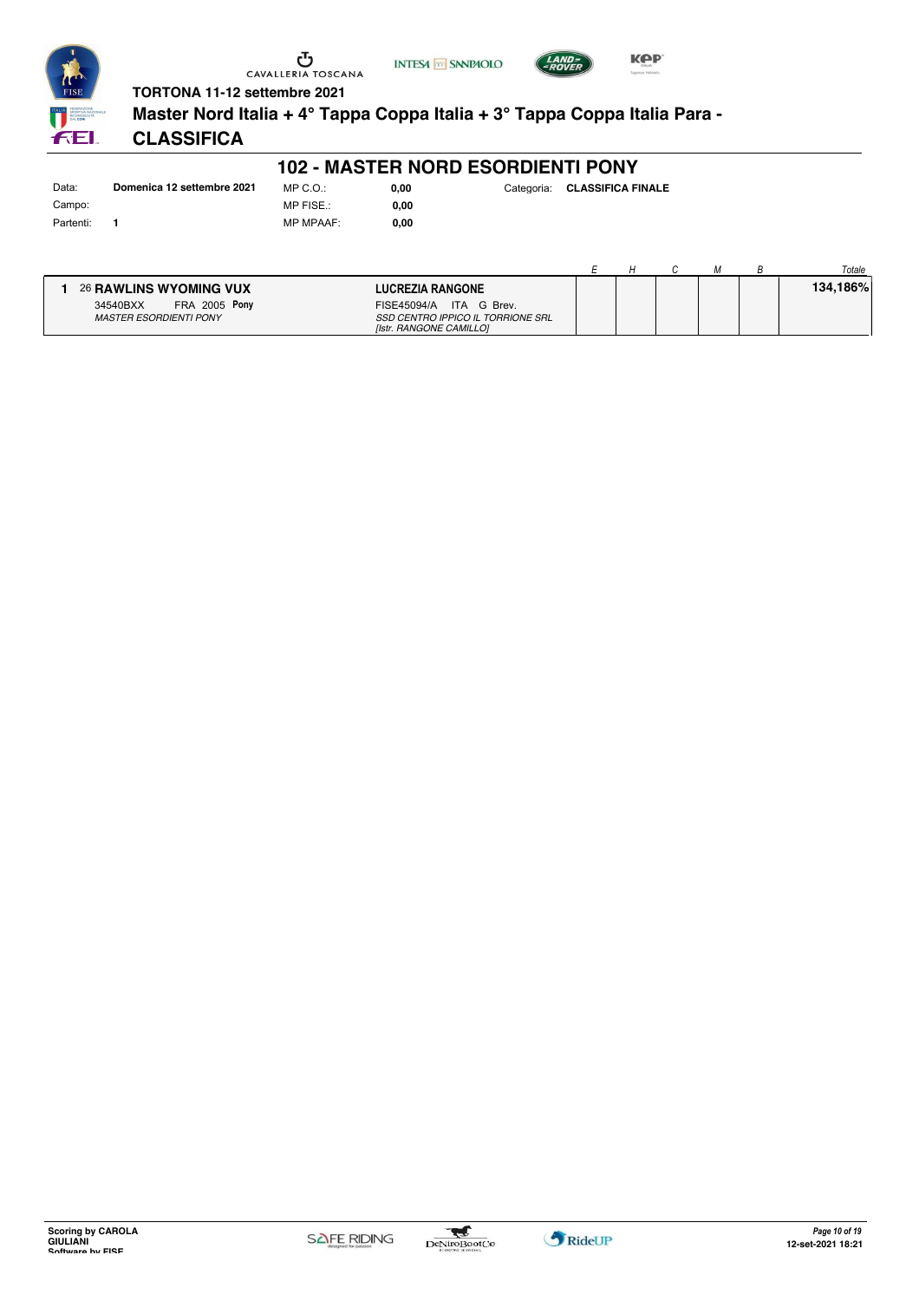

**INTESA** M SANPAOLO



#### **TORTONA 11-12 settembre 2021**

**Master Nord Italia + 4° Tappa Coppa Italia + 3° Tappa Coppa Italia Para -**

### **CLASSIFICA**

#### **102 - MASTER NORD ESORDIENTI PONY**

Data: **Domenica 12 settembre 2021** Campo: Partenti: **1**

MP C.O.: MP FISE.: MP MPAAF: **0,00**

**0,00**

**0,00** Categoria: **CLASSIFICA FINALE**

**KPP** 

|                                  |                                   |  |  | Totale   |
|----------------------------------|-----------------------------------|--|--|----------|
| 26 RAWLINS WYOMING VUX           | <b>LUCREZIA RANGONE</b>           |  |  | 134.186% |
| <b>FRA 2005 Pony</b><br>34540BXX | FISE45094/A ITA G Brev.           |  |  |          |
| <b>MASTER ESORDIENTI PONY</b>    | SSD CENTRO IPPICO IL TORRIONE SRL |  |  |          |
|                                  | <b>Ilstr. RANGONE CAMILLO1</b>    |  |  |          |

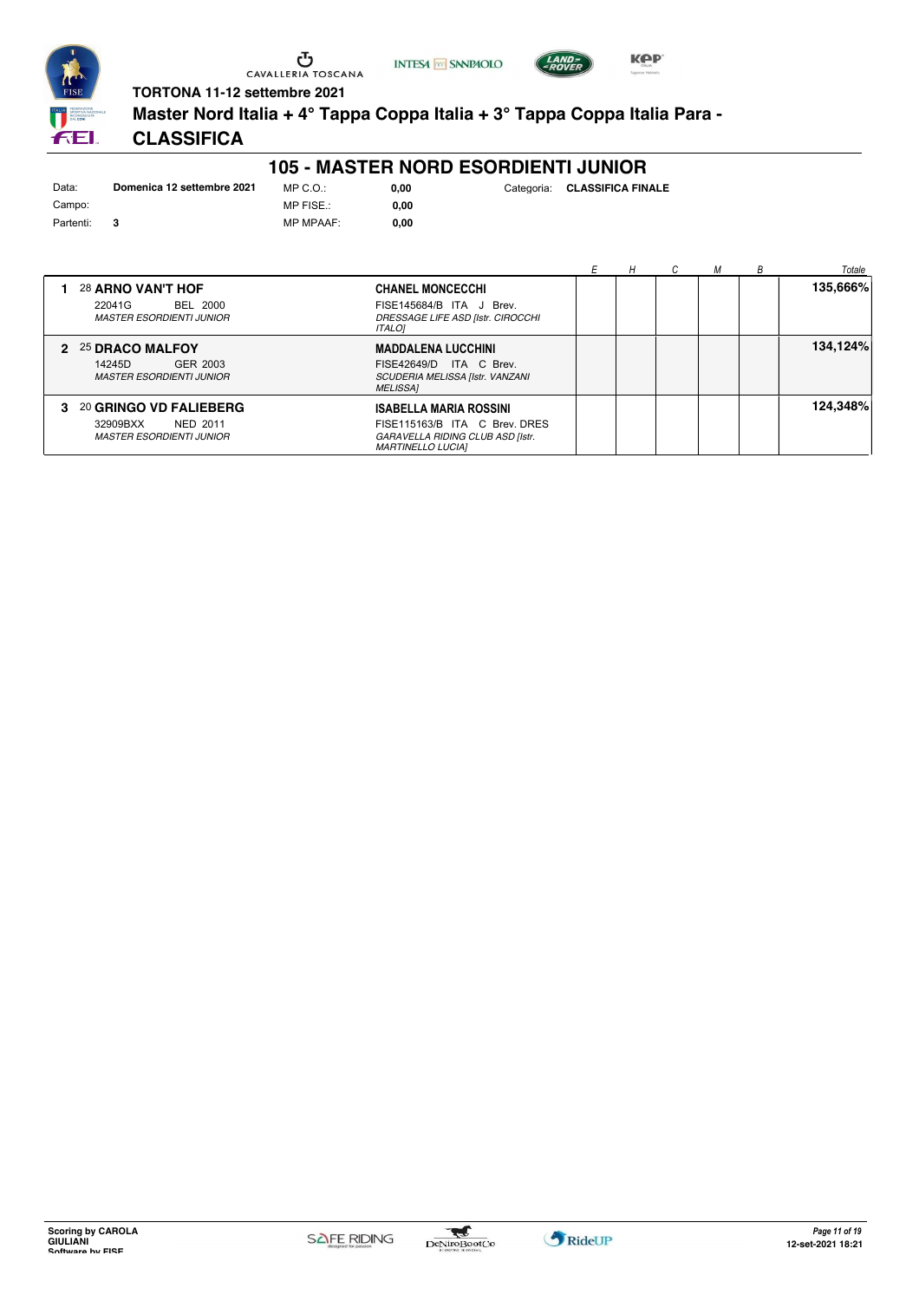

**INTESA** M SANPAOLO



**Master Nord Italia + 4° Tappa Coppa Italia + 3° Tappa Coppa Italia Para -**

# **CLASSIFICA**

#### **105 - MASTER NORD ESORDIENTI JUNIOR**

**0,00** Categoria: **CLASSIFICA FINALE**

**KPP** 

| Data:     | Domenica 12 settembre 2021 | MP C.O.:         | 0.00 |
|-----------|----------------------------|------------------|------|
| Campo:    |                            | MP FISE.:        | 0.00 |
| Partenti: |                            | <b>MP MPAAF:</b> | 0.00 |

|                                                                                     |                                                                                                                                | Н | м | B | Totale   |
|-------------------------------------------------------------------------------------|--------------------------------------------------------------------------------------------------------------------------------|---|---|---|----------|
| 28 ARNO VAN'T HOF<br>BEL 2000<br>22041G<br><b>MASTER ESORDIENTI JUNIOR</b>          | <b>CHANEL MONCECCHI</b><br>FISE145684/B ITA J Brev.<br>DRESSAGE LIFE ASD [Istr. CIROCCHI<br><b>ITALOI</b>                      |   |   |   | 135,666% |
| 2 25 DRACO MALFOY<br>14245D<br>GER 2003<br><b>MASTER ESORDIENTI JUNIOR</b>          | <b>MADDALENA LUCCHINI</b><br>FISE42649/D ITA C Brev.<br>SCUDERIA MELISSA [Istr. VANZANI<br><b>MELISSA1</b>                     |   |   |   | 134,124% |
| 3 20 GRINGO VD FALIEBERG<br>32909BXX<br>NED 2011<br><b>MASTER ESORDIENTI JUNIOR</b> | <b>ISABELLA MARIA ROSSINI</b><br>FISE115163/B ITA C Brev. DRES<br>GARAVELLA RIDING CLUB ASD [Istr.<br><b>MARTINELLO LUCIAI</b> |   |   |   | 124,348% |

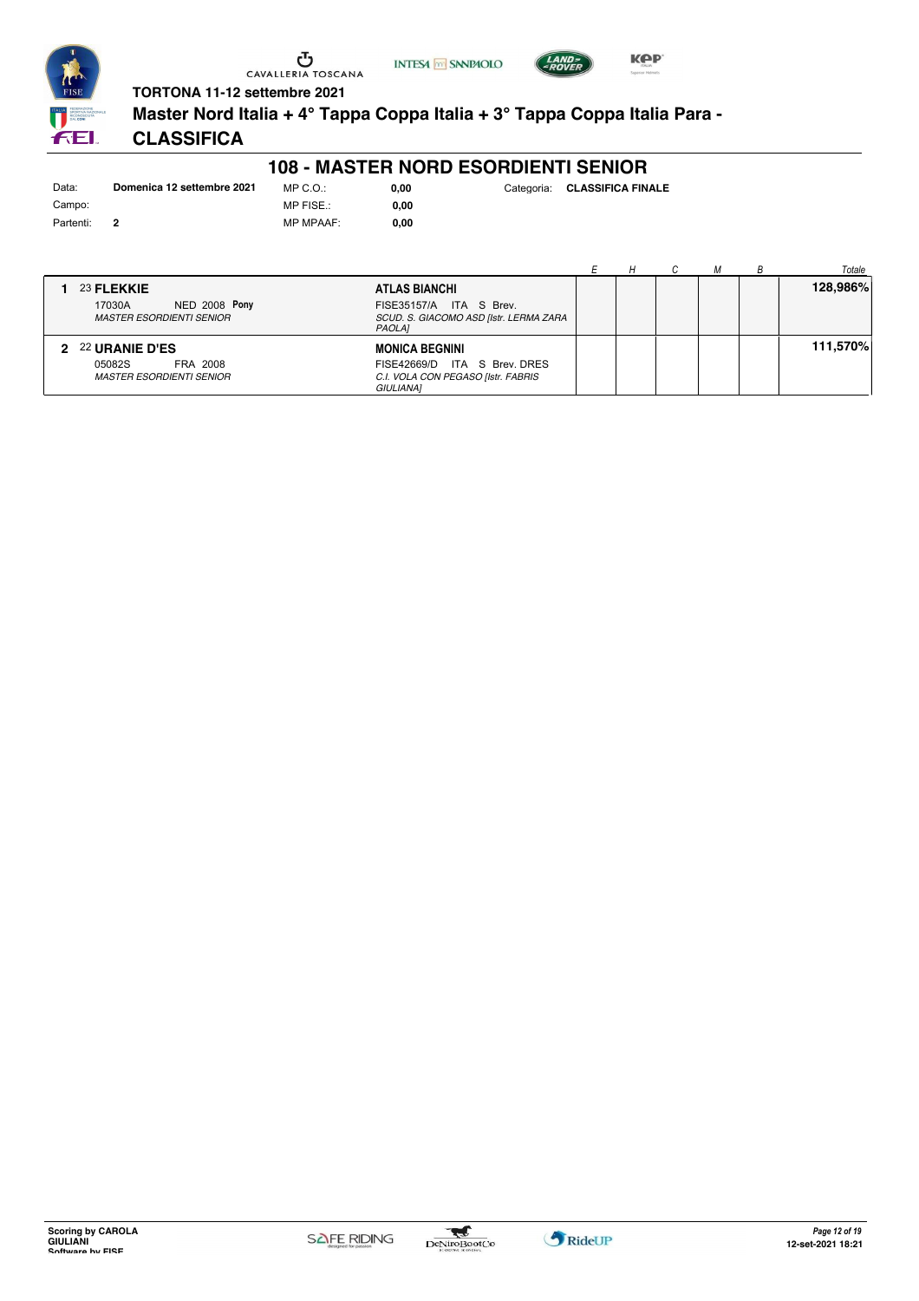

 $C.O.$ : FISE.:





**TORTONA 11-12 settembre 2021**

**Master Nord Italia + 4° Tappa Coppa Italia + 3° Tappa Coppa Italia Para -**

# **CLASSIFICA**

#### **108 - MASTER NORD ESORDIENTI SENIOR**

| Data:     | Domenica 12 settembre 2021 | MF |
|-----------|----------------------------|----|
| Campo:    |                            | MF |
| Partenti: |                            | MF |

MP MPAAF: **0,00 0,00**

|                                                                                            |  |  | Totale   |
|--------------------------------------------------------------------------------------------|--|--|----------|
| 23 FLEKKIE<br>ATLAS BIANCHI                                                                |  |  | 128,986% |
| <b>NED 2008 Pony</b><br>ITA S Brev.<br>17030A<br><b>FISE35157/A</b>                        |  |  |          |
| <b>MASTER ESORDIENTI SENIOR</b><br>SCUD. S. GIACOMO ASD [Istr. LERMA ZARA<br><b>PAOLAI</b> |  |  |          |
| 2 22 URANIE D'ES<br><b>MONICA BEGNINI</b>                                                  |  |  | 111,570% |
| ITA S Brev. DRES<br>05082S<br>FRA 2008<br>FISE42669/D                                      |  |  |          |
| C.I. VOLA CON PEGASO [Istr. FABRIS<br><b>MASTER ESORDIENTI SENIOR</b><br>GIULIANA]         |  |  |          |

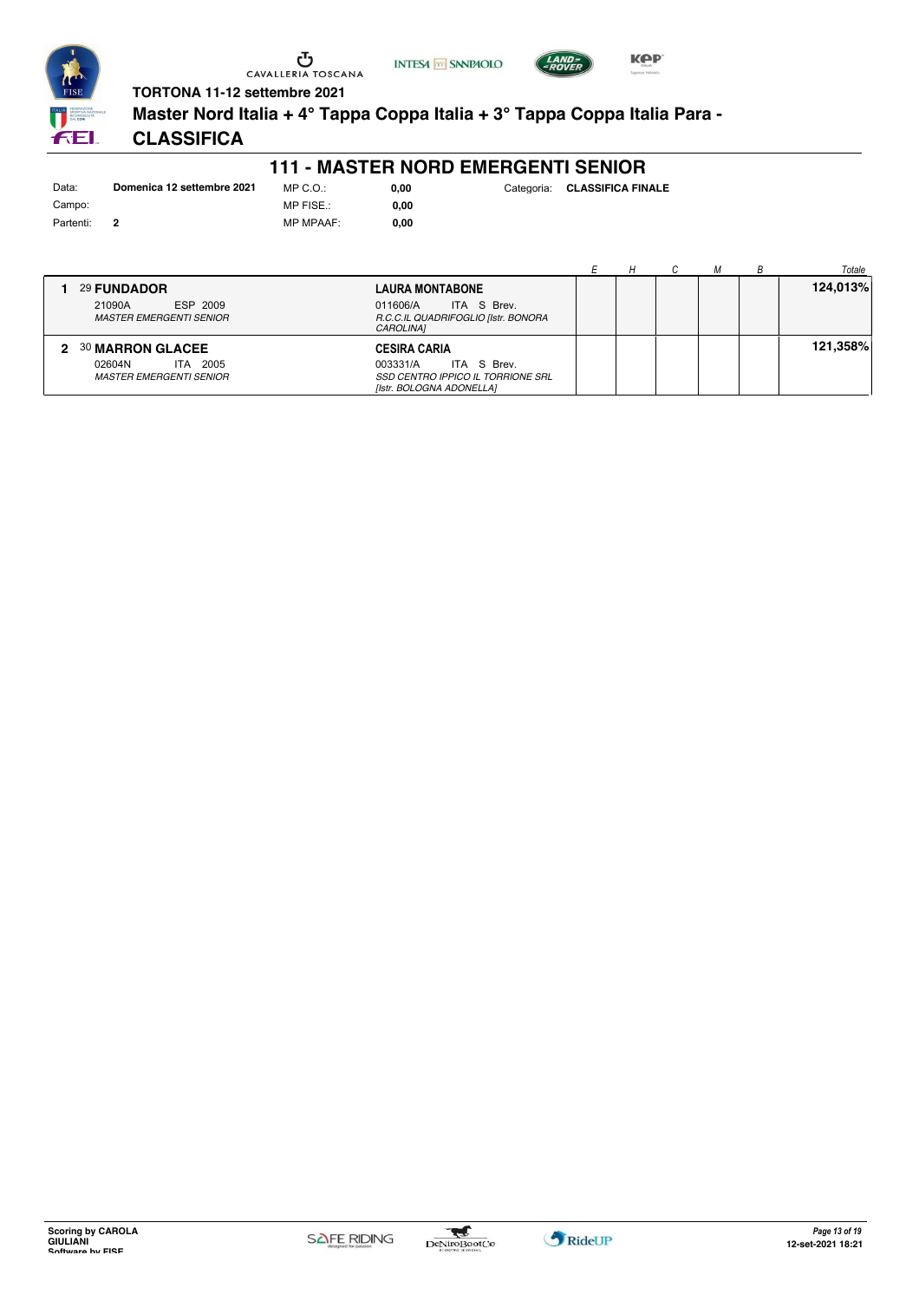



**Master Nord Italia + 4° Tappa Coppa Italia + 3° Tappa Coppa Italia Para -**

**INTESA** M SANPAOLO

# **CLASSIFICA**

#### **111 - MASTER NORD EMERGENTI SENIOR**

| Data:     | Domenica 12 settembre 2021 | MP C. O.         |
|-----------|----------------------------|------------------|
| Campo:    |                            | MP FISE.:        |
| Partenti: |                            | <b>MP MPAAF:</b> |

 $0,00$ **0,00**

**0,00** Categoria: **CLASSIFICA FINALE**

**KPP** 

|   |                                                      |                                                                |  |  | Totale   |
|---|------------------------------------------------------|----------------------------------------------------------------|--|--|----------|
|   | 29 FUNDADOR                                          | <b>LAURA MONTABONE</b>                                         |  |  | 124,013% |
|   | ESP 2009<br>21090A<br><b>MASTER EMERGENTI SENIOR</b> | ITA S Brev.<br>011606/A<br>R.C.C.IL QUADRIFOGLIO [Istr. BONORA |  |  |          |
|   |                                                      | CAROLINA1                                                      |  |  |          |
| 2 | <b>30 MARRON GLACEE</b>                              | <b>CESIRA CARIA</b>                                            |  |  | 121,358% |
|   | ITA 2005<br>02604N                                   | ITA S Brev.<br>003331/A                                        |  |  |          |
|   | <b>MASTER EMERGENTI SENIOR</b>                       | SSD CENTRO IPPICO IL TORRIONE SRL<br>[Istr. BOLOGNA ADONELLA]  |  |  |          |

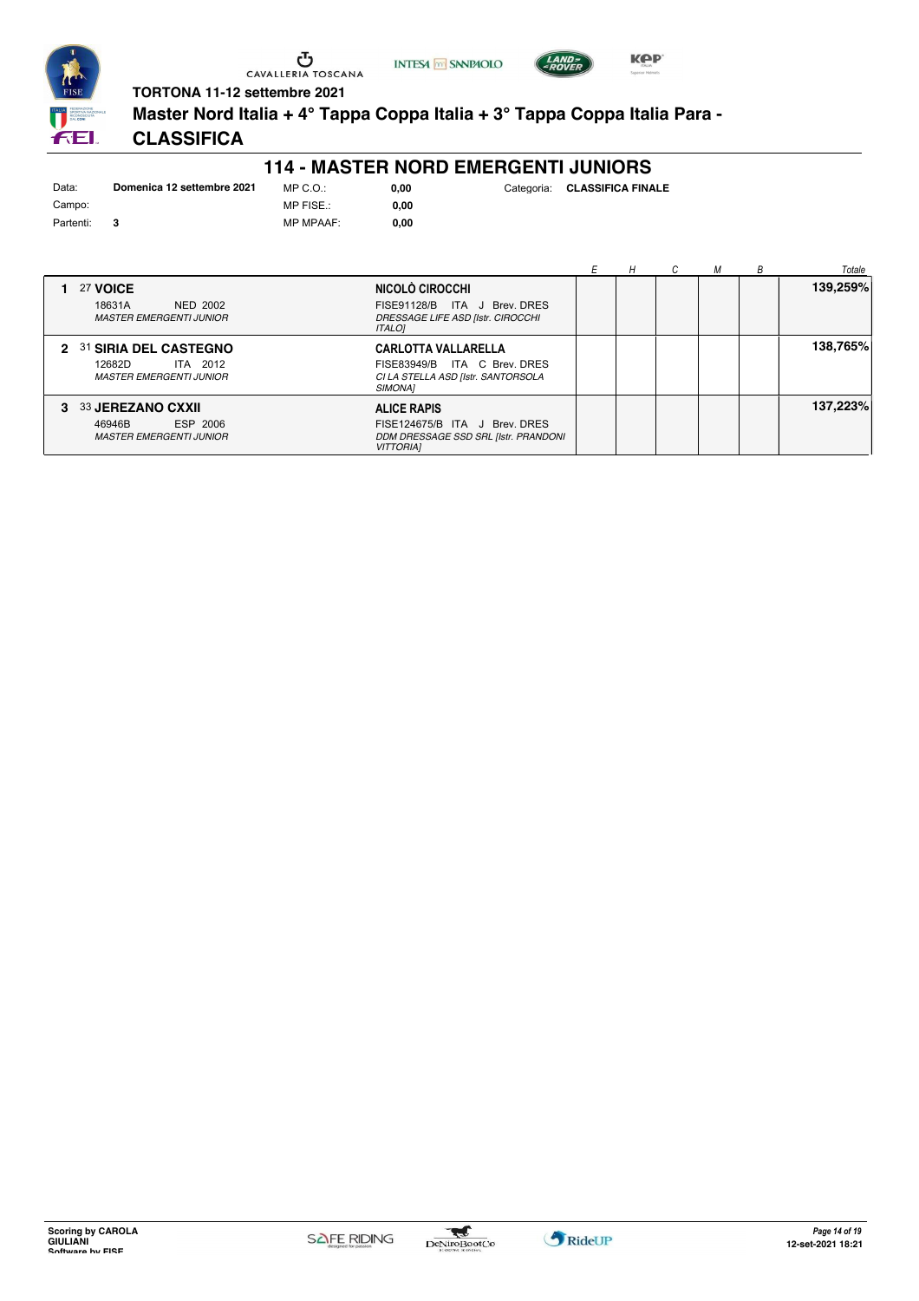





**TORTONA 11-12 settembre 2021**

**Master Nord Italia + 4° Tappa Coppa Italia + 3° Tappa Coppa Italia Para -**

### **CLASSIFICA**

#### **114 - MASTER NORD EMERGENTI JUNIORS**

| Data:     | Domenica 12 settembre 2021 | $MP C. Q$ .:     |
|-----------|----------------------------|------------------|
| Campo:    |                            | MP FISE.:        |
| Partenti: |                            | <b>MP MPAAF:</b> |

**0,00**

 $0,00$ 

|                                                                                       |                                                                                                                    |  |  | Totale   |
|---------------------------------------------------------------------------------------|--------------------------------------------------------------------------------------------------------------------|--|--|----------|
| 27 VOICE<br>18631A<br><b>NED 2002</b><br><b>MASTER EMERGENTI JUNIOR</b>               | NICOLÒ CIROCCHI<br>FISE91128/B ITA J Brev. DRES<br>DRESSAGE LIFE ASD [Istr. CIROCCHI<br><b>ITALOI</b>              |  |  | 139,259% |
| 2 31 SIRIA DEL CASTEGNO<br>12682D<br>ITA 2012<br><b>MASTER EMERGENTI JUNIOR</b>       | <b>CARLOTTA VALLARELLA</b><br>FISE83949/B ITA C Brev. DRES<br>CI LA STELLA ASD [Istr. SANTORSOLA<br><b>SIMONA1</b> |  |  | 138,765% |
| <b>33 JEREZANO CXXII</b><br>3<br>ESP 2006<br>46946B<br><b>MASTER EMERGENTI JUNIOR</b> | <b>ALICE RAPIS</b><br>FISE124675/B ITA J Brev. DRES<br>DDM DRESSAGE SSD SRL [Istr. PRANDONI<br><b>VITTORIAI</b>    |  |  | 137,223% |

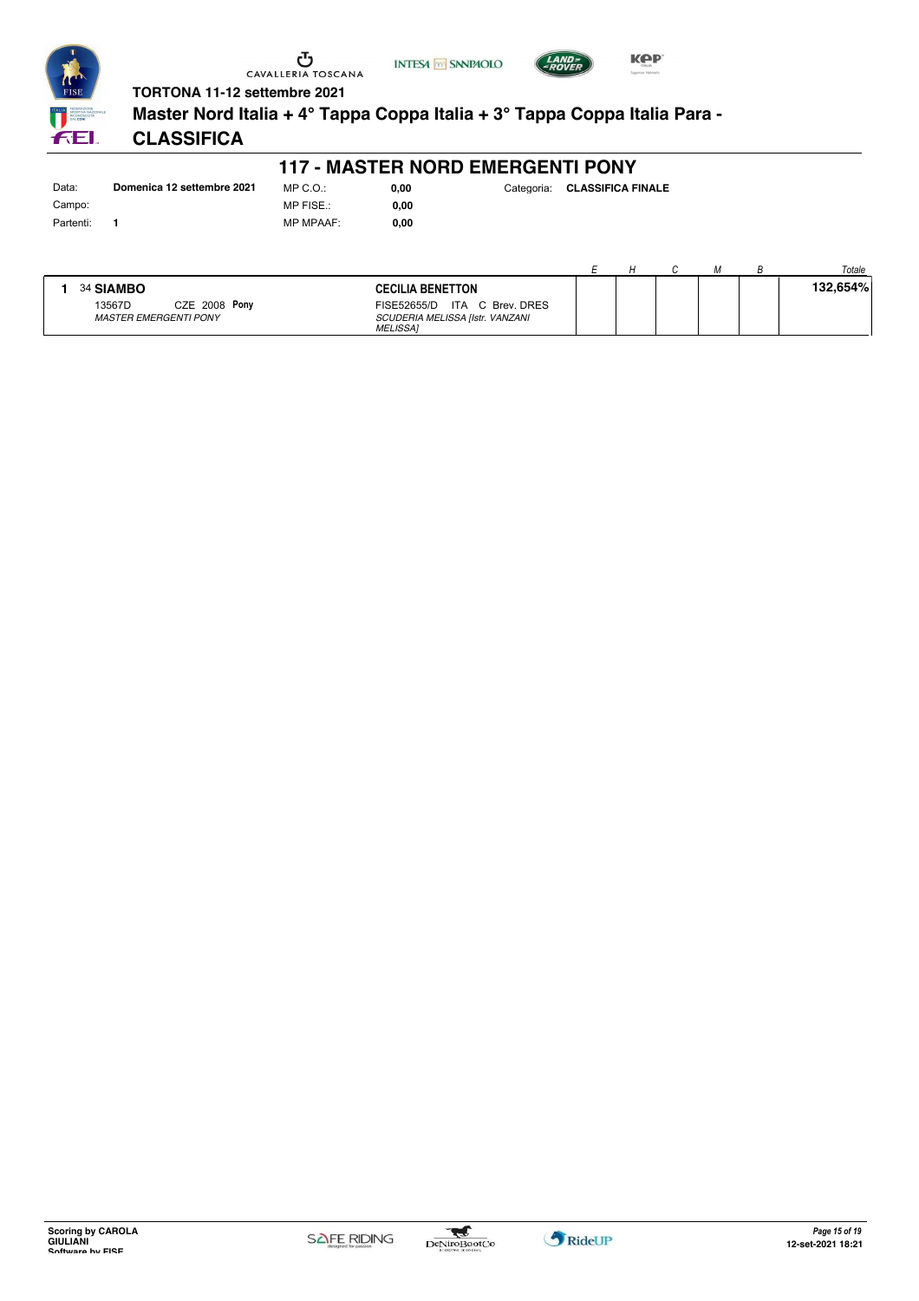





**TORTONA 11-12 settembre 2021 Master Nord Italia + 4° Tappa Coppa Italia + 3° Tappa Coppa Italia Para -**

# **CLASSIFICA**

#### **117 - MASTER NORD EMERGENTI PONY**

Data: **Domenica 12 settembre 2021** Campo: Partenti: **1**

FEI.

MP C.O.: MP FISE.: MP MPAAF: **0,00**

**0,00**

|           |                              |                                                    |  |  | Totale   |
|-----------|------------------------------|----------------------------------------------------|--|--|----------|
| 34 SIAMBO |                              | <b>CECILIA BENETTON</b>                            |  |  | 132,654% |
| 13567D    | CZE 2008 Pony                | FISE52655/D ITA C Brev. DRES                       |  |  |          |
|           | <b>MASTER EMERGENTI PONY</b> | SCUDERIA MELISSA [Istr. VANZANI<br><b>MELISSAI</b> |  |  |          |

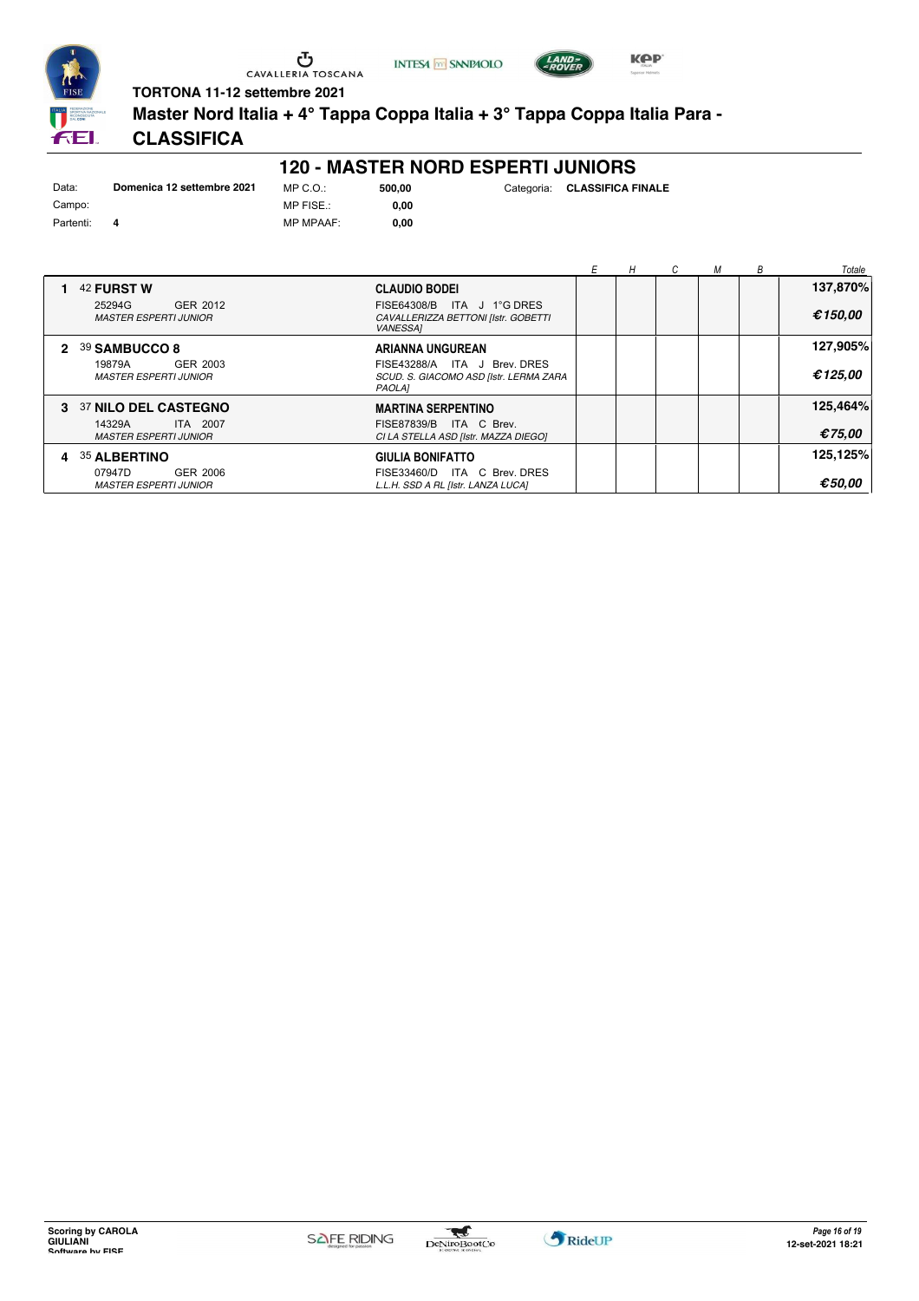

**INTESA M** SANPAOLO



**Master Nord Italia + 4° Tappa Coppa Italia + 3° Tappa Coppa Italia Para -**

# **CLASSIFICA**

#### **120 - MASTER NORD ESPERTI JUNIORS**

**500,00** Categoria: **CLASSIFICA FINALE**

**KPP** 

| Data:     | Domenica 12 settembre 2021 | MP C. O.         | 500.00 |
|-----------|----------------------------|------------------|--------|
| Campo:    |                            | MP FISE.:        | 0.00   |
| Partenti: |                            | <b>MP MPAAF:</b> | 0.00   |

|                                                    |                                                                                         | Н | М | B | Totale           |
|----------------------------------------------------|-----------------------------------------------------------------------------------------|---|---|---|------------------|
| 42 FURST W                                         | <b>CLAUDIO BODEI</b>                                                                    |   |   |   | 137,870%         |
| 25294G<br>GER 2012<br><b>MASTER ESPERTI JUNIOR</b> | ITA J 1°G DRES<br>FISE64308/B<br>CAVALLERIZZA BETTONI [Istr. GOBETTI<br><b>VANESSA1</b> |   |   |   | €150,00          |
| 2 39 SAMBUCCO 8                                    | ARIANNA UNGUREAN                                                                        |   |   |   | 127,905%         |
| 19879A<br>GER 2003<br><b>MASTER ESPERTI JUNIOR</b> | FISE43288/A ITA J Brev. DRES<br>SCUD. S. GIACOMO ASD [Istr. LERMA ZARA<br>PAOLA]        |   |   |   | €125,00          |
| 3 37 NILO DEL CASTEGNO                             | <b>MARTINA SERPENTINO</b>                                                               |   |   |   | 125,464%         |
| 14329A<br>ITA 2007<br><b>MASTER ESPERTI JUNIOR</b> | FISE87839/B ITA C Brev.<br>CI LA STELLA ASD [Istr. MAZZA DIEGO]                         |   |   |   | €75.00           |
| 4 35 ALBERTINO                                     | <b>GIULIA BONIFATTO</b>                                                                 |   |   |   | 125,125%         |
| 07947D<br>GER 2006<br><b>MASTER ESPERTI JUNIOR</b> | ITA C Brev. DRES<br>FISE33460/D<br>L.L.H. SSD A RL [Istr. LANZA LUCA]                   |   |   |   | $\epsilon$ 50.00 |

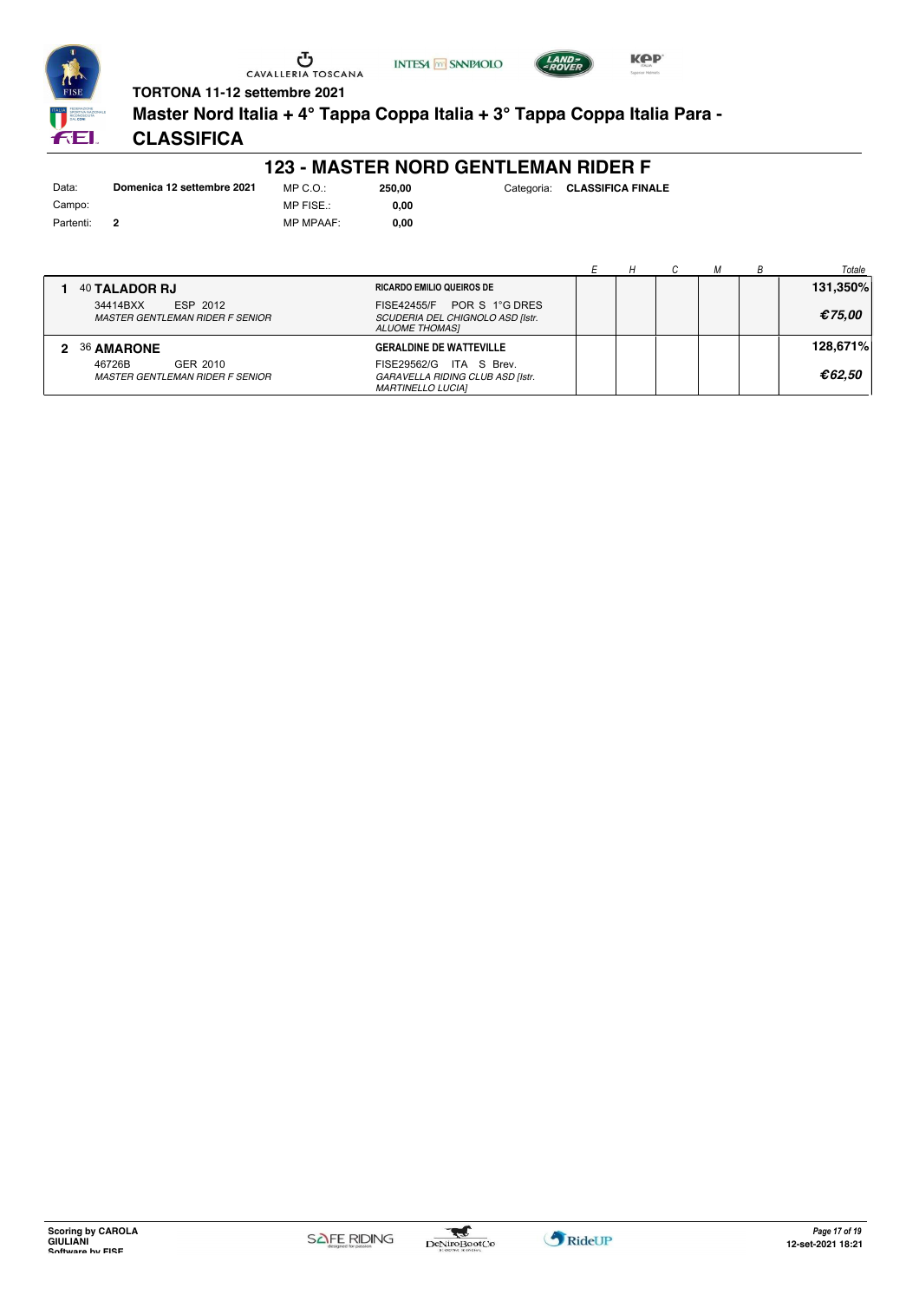





**TORTONA 11-12 settembre 2021**

**Master Nord Italia + 4° Tappa Coppa Italia + 3° Tappa Coppa Italia Para -**

### **CLASSIFICA**

#### **123 - MASTER NORD GENTLEMAN RIDER F**

Data: **Domenica 12 settembre 2021** Campo: Partenti: **2**

**1** 40 **TALADOR RJ**

MP C.O.: MP FISE.: MP MPAAF: **0,00**

**0,00**

**250,00** Categoria: **CLASSIFICA FINALE**

|                                  | н |  | Totale   |
|----------------------------------|---|--|----------|
| <b>RICARDO EMILIO QUEIROS DE</b> |   |  | 131,350% |
| $FISF42455/F$ POR S 1°G DRES     |   |  |          |

| ESP 2012<br>34414BXX<br><b>MASTER GENTLEMAN RIDER F SENIOR</b> | POR S 1°G DRES<br>FISE42455/F<br>SCUDERIA DEL CHIGNOLO ASD [Istr.<br><b>ALUOME THOMASI</b> |  | €75.00   |
|----------------------------------------------------------------|--------------------------------------------------------------------------------------------|--|----------|
| <b>36 AMARONE</b>                                              | <b>GERALDINE DE WATTEVILLE</b>                                                             |  | 128,671% |
| 46726B<br>GER 2010<br>MASTER GENTLEMAN RIDER F SENIOR          | FISE29562/G ITA S Brev.<br>GARAVELLA RIDING CLUB ASD [Istr.<br><b>MARTINELLO LUCIAI</b>    |  | €62.50   |

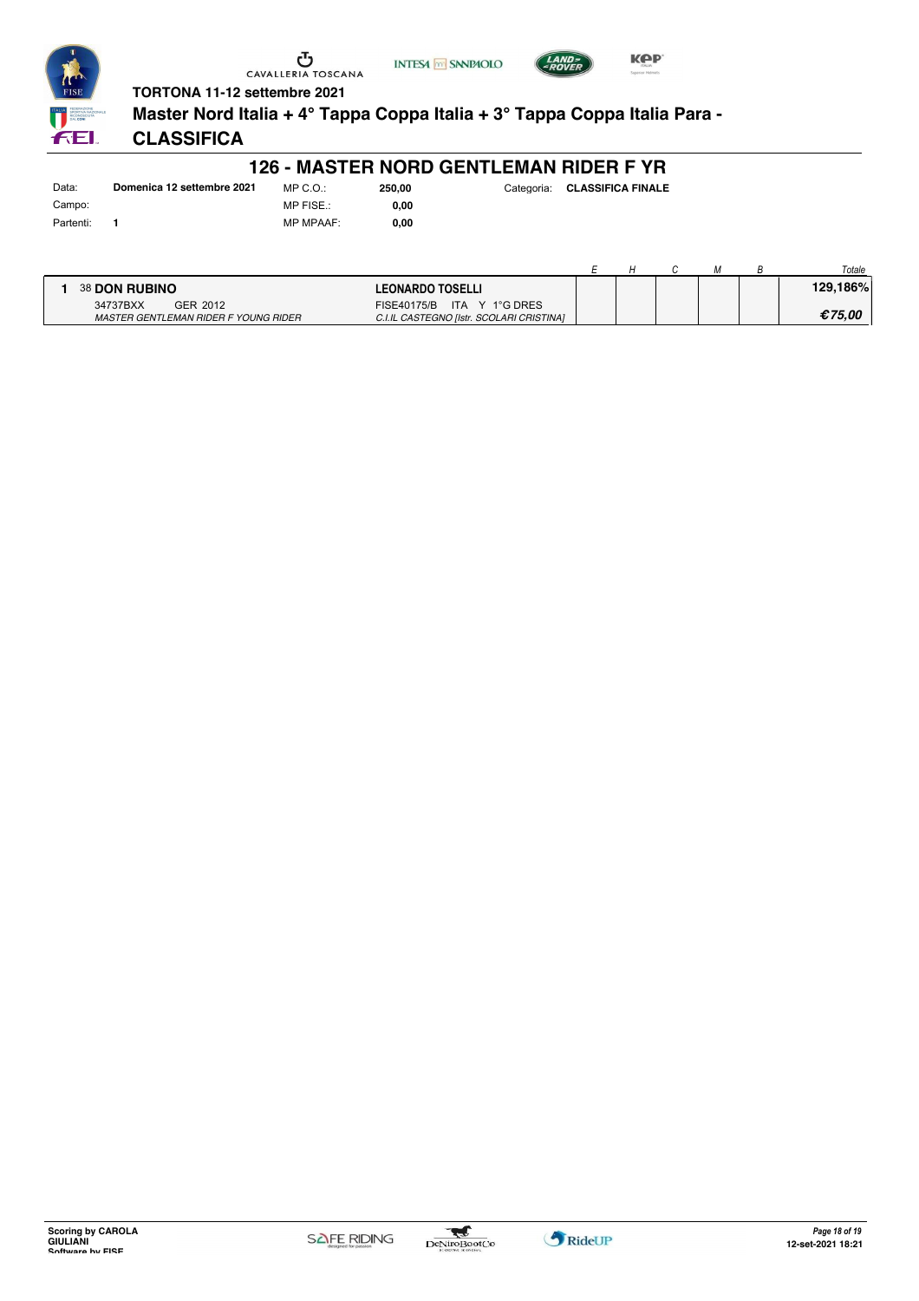





**TORTONA 11-12 settembre 2021 Master Nord Italia + 4° Tappa Coppa Italia + 3° Tappa Coppa Italia Para -** FEI.

# **CLASSIFICA**

### **126 - MASTER NORD GENTLEMAN RIDER F YR**

| Data:     | Domenica 12 settembre 2021 |
|-----------|----------------------------|
| Campo:    |                            |
| Partenti: |                            |

MP C.O.: MP FISE.: MP MPAAF: **0,00**

**0,00**

|                                      |                                          |  |  | Totale   |
|--------------------------------------|------------------------------------------|--|--|----------|
| 38 DON RUBINO                        | <b>LEONARDO TOSELLI</b>                  |  |  | 129.186% |
| 34737BXX<br>GER 2012                 | FISE40175/B ITA Y 1°G DRES               |  |  |          |
| MASTER GENTLEMAN RIDER F YOUNG RIDER | C.I.IL CASTEGNO [Istr. SCOLARI CRISTINA] |  |  | €75.00   |

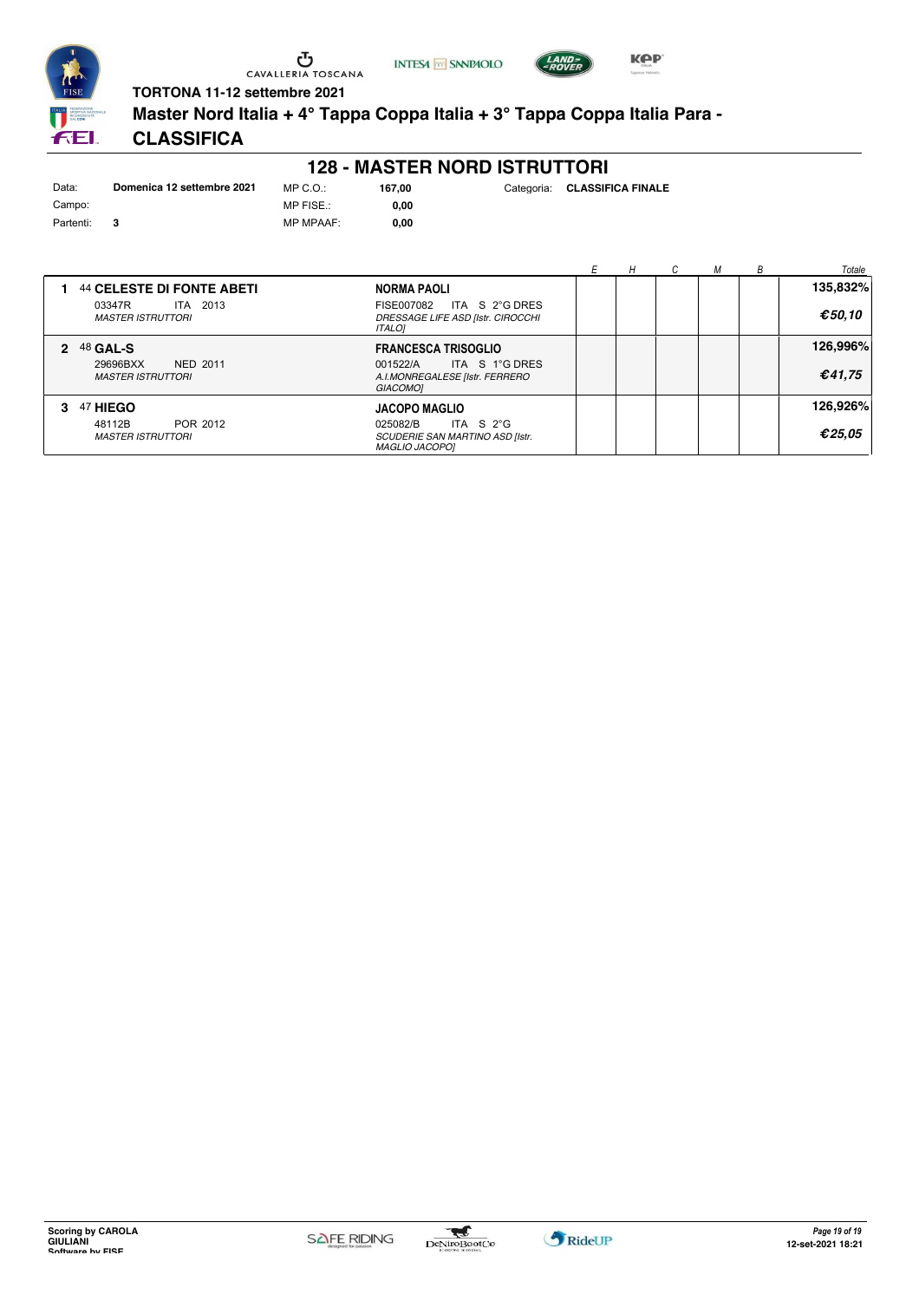





**Master Nord Italia + 4° Tappa Coppa Italia + 3° Tappa Coppa Italia Para -**

# **CLASSIFICA**

| Data:     | Domenica 12 settembre 2021 | MP |
|-----------|----------------------------|----|
| Campo:    |                            | MP |
| Partenti: | з                          | MP |

**128 - MASTER NORD ISTRUTTORI**

 $C.O.$ : FISE.: MP MPAAF: **0,00**

**0,00**

|                                                         |                                                                                             | н |  | Totale   |
|---------------------------------------------------------|---------------------------------------------------------------------------------------------|---|--|----------|
| 44 CELESTE DI FONTE ABETI                               | NORMA PAOLI                                                                                 |   |  | 135,832% |
| 03347R<br>ITA 2013<br><b>MASTER ISTRUTTORI</b>          | ITA S 2°G DRES<br>FISE007082<br>DRESSAGE LIFE ASD [Istr. CIROCCHI<br><b>ITALOI</b>          |   |  | €50.10   |
| 2 48 GAL-S                                              | <b>FRANCESCA TRISOGLIO</b>                                                                  |   |  | 126,996% |
| 29696BXX<br><b>NED 2011</b><br><b>MASTER ISTRUTTORI</b> | ITA S 1°G DRES<br>001522/A<br>A.I.MONREGALESE [Istr. FERRERO<br><b>GIACOMO1</b>             |   |  | €41,75   |
| 47 HIEGO                                                | <b>JACOPO MAGLIO</b>                                                                        |   |  | 126,926% |
| POR 2012<br>48112B<br><b>MASTER ISTRUTTORI</b>          | ITA S $2^{\circ}$ G<br>025082/B<br>SCUDERIE SAN MARTINO ASD [Istr.<br><b>MAGLIO JACOPO1</b> |   |  | €25,05   |

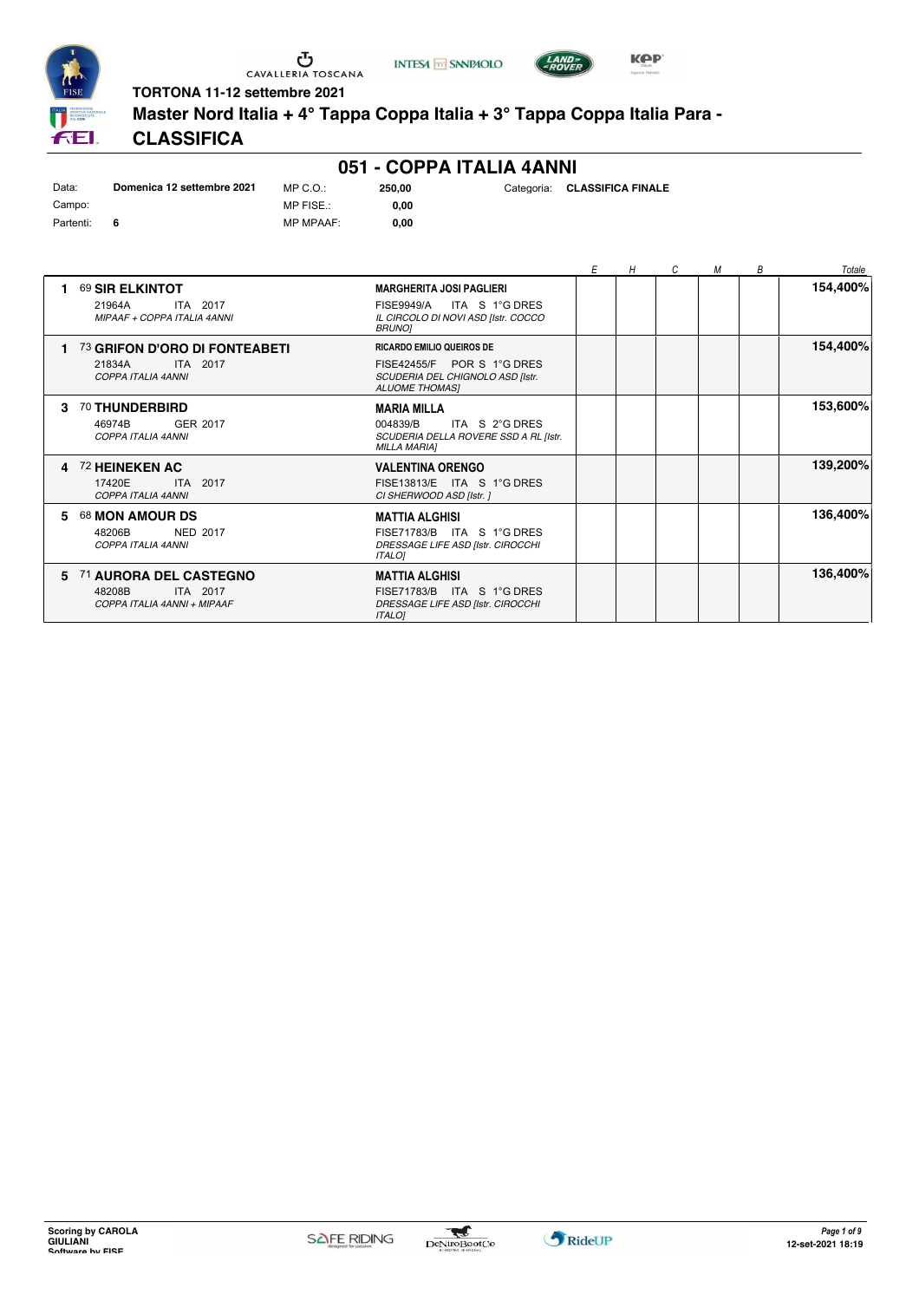





LAND-<br>- POVER

**TORTONA 11-12 settembre 2021**

**Master Nord Italia + 4° Tappa Coppa Italia + 3° Tappa Coppa Italia Para -**

# **CLASSIFICA**

|           |                            |                  |        | 051 - COPPA ITALIA 4ANNI |                              |
|-----------|----------------------------|------------------|--------|--------------------------|------------------------------|
| Data:     | Domenica 12 settembre 2021 | MP C.O.:         | 250.00 |                          | Categoria: CLASSIFICA FINALE |
| Campo:    |                            | MP FISE.:        | 0.00   |                          |                              |
| Partenti: | - 6                        | <b>MP MPAAF:</b> | 0.00   |                          |                              |

|    |                                                                             |                                                                                                                                | E | H | C | М | B | Totale   |
|----|-----------------------------------------------------------------------------|--------------------------------------------------------------------------------------------------------------------------------|---|---|---|---|---|----------|
|    | 69 SIR ELKINTOT<br>ITA 2017<br>21964A<br>MIPAAF + COPPA ITALIA 4ANNI        | <b>MARGHERITA JOSI PAGLIERI</b><br>ITA S 1°G DRES<br><b>FISE9949/A</b><br>IL CIRCOLO DI NOVI ASD [Istr. COCCO<br><b>BRUNOI</b> |   |   |   |   |   | 154,400% |
|    | 73 GRIFON D'ORO DI FONTEABETI<br>21834A<br>ITA 2017<br>COPPA ITALIA 4ANNI   | <b>RICARDO EMILIO QUEIROS DE</b><br>FISE42455/F POR S 1°G DRES<br>SCUDERIA DEL CHIGNOLO ASD [Istr.<br><b>ALUOME THOMAS!</b>    |   |   |   |   |   | 154,400% |
| з. | 70 THUNDERBIRD<br>GER 2017<br>46974B<br>COPPA ITALIA 4ANNI                  | <b>MARIA MILLA</b><br>004839/B<br>ITA S 2°G DRES<br>SCUDERIA DELLA ROVERE SSD A RL [Istr.<br><b>MILLA MARIA1</b>               |   |   |   |   |   | 153,600% |
| 4  | 72 HEINEKEN AC<br>17420E<br>ITA 2017<br>COPPA ITALIA 4ANNI                  | <b>VALENTINA ORENGO</b><br>FISE13813/E ITA S 1°G DRES<br>CI SHERWOOD ASD [Istr. ]                                              |   |   |   |   |   | 139,200% |
| 5  | 68 MON AMOUR DS<br><b>NED 2017</b><br>48206B<br>COPPA ITALIA 4ANNI          | <b>MATTIA ALGHISI</b><br>FISE71783/B ITA S 1°G DRES<br>DRESSAGE LIFE ASD [Istr. CIROCCHI<br><b>ITALOI</b>                      |   |   |   |   |   | 136,400% |
| 5. | 71 AURORA DEL CASTEGNO<br>48208B<br>ITA 2017<br>COPPA ITALIA 4ANNI + MIPAAF | <b>MATTIA ALGHISI</b><br>FISE71783/B ITA S 1°G DRES<br>DRESSAGE LIFE ASD [Istr. CIROCCHI<br><b>ITALOI</b>                      |   |   |   |   |   | 136,400% |

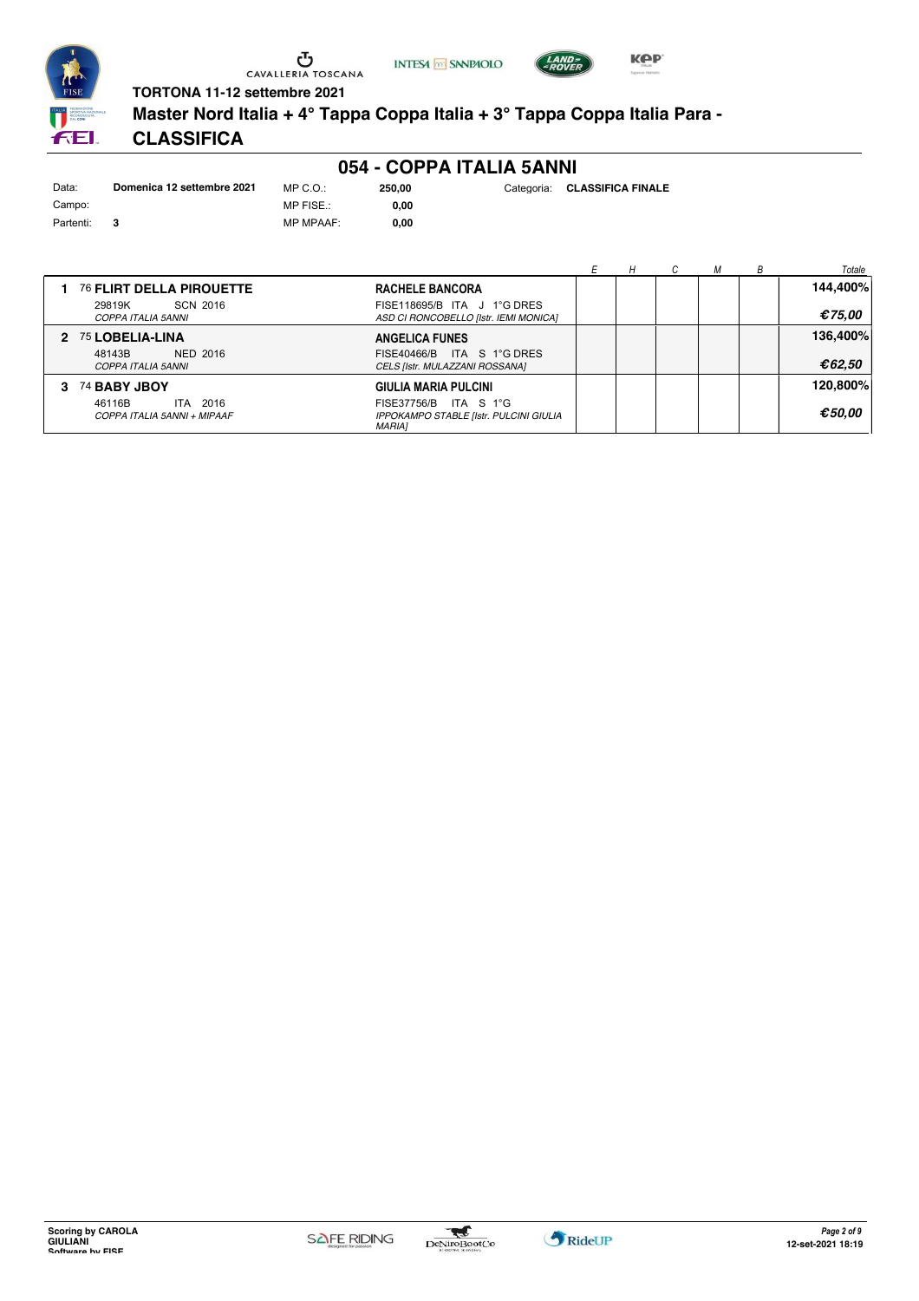





**250,00** Categoria: **CLASSIFICA FINALE**

**TORTONA 11-12 settembre 2021**

**Master Nord Italia + 4° Tappa Coppa Italia + 3° Tappa Coppa Italia Para -**

# **CLASSIFICA**

|           |                            |                  |        | 054 - COPPA ITALIA 5ANNI |     |
|-----------|----------------------------|------------------|--------|--------------------------|-----|
| Data:     | Domenica 12 settembre 2021 | $MP C. Q$ .:     | 250.00 | Categoria:               | -CL |
| Campo:    |                            | MP FISE.:        | 0.00   |                          |     |
| Partenti: | 3                          | <b>MP MPAAF:</b> | 0.00   |                          |     |

|                                                       |                                                                                  |  |  | Totale   |
|-------------------------------------------------------|----------------------------------------------------------------------------------|--|--|----------|
| 76 FLIRT DELLA PIROUETTE                              | <b>RACHELE BANCORA</b>                                                           |  |  | 144,400% |
| SCN 2016<br>29819K<br>COPPA ITALIA 5ANNI              | FISE118695/B ITA J 1°G DRES<br>ASD CI RONCOBELLO [Istr. IEMI MONICA]             |  |  | €75,00   |
| 2 75 LOBELIA-LINA                                     | <b>ANGELICA FUNES</b>                                                            |  |  | 136,400% |
| NED 2016<br>48143B<br>COPPA ITALIA 5ANNI              | FISE40466/B ITA S 1°G DRES<br>CELS [Istr. MULAZZANI ROSSANA]                     |  |  | €62,50   |
| 3 74 BABY JBOY                                        | GIULIA MARIA PULCINI                                                             |  |  | 120.800% |
| 46116B<br>2016<br>ITA.<br>COPPA ITALIA 5ANNI + MIPAAF | FISE37756/B ITA S 1°G<br>IPPOKAMPO STABLE [Istr. PULCINI GIULIA<br><b>MARIA1</b> |  |  | €50.00   |

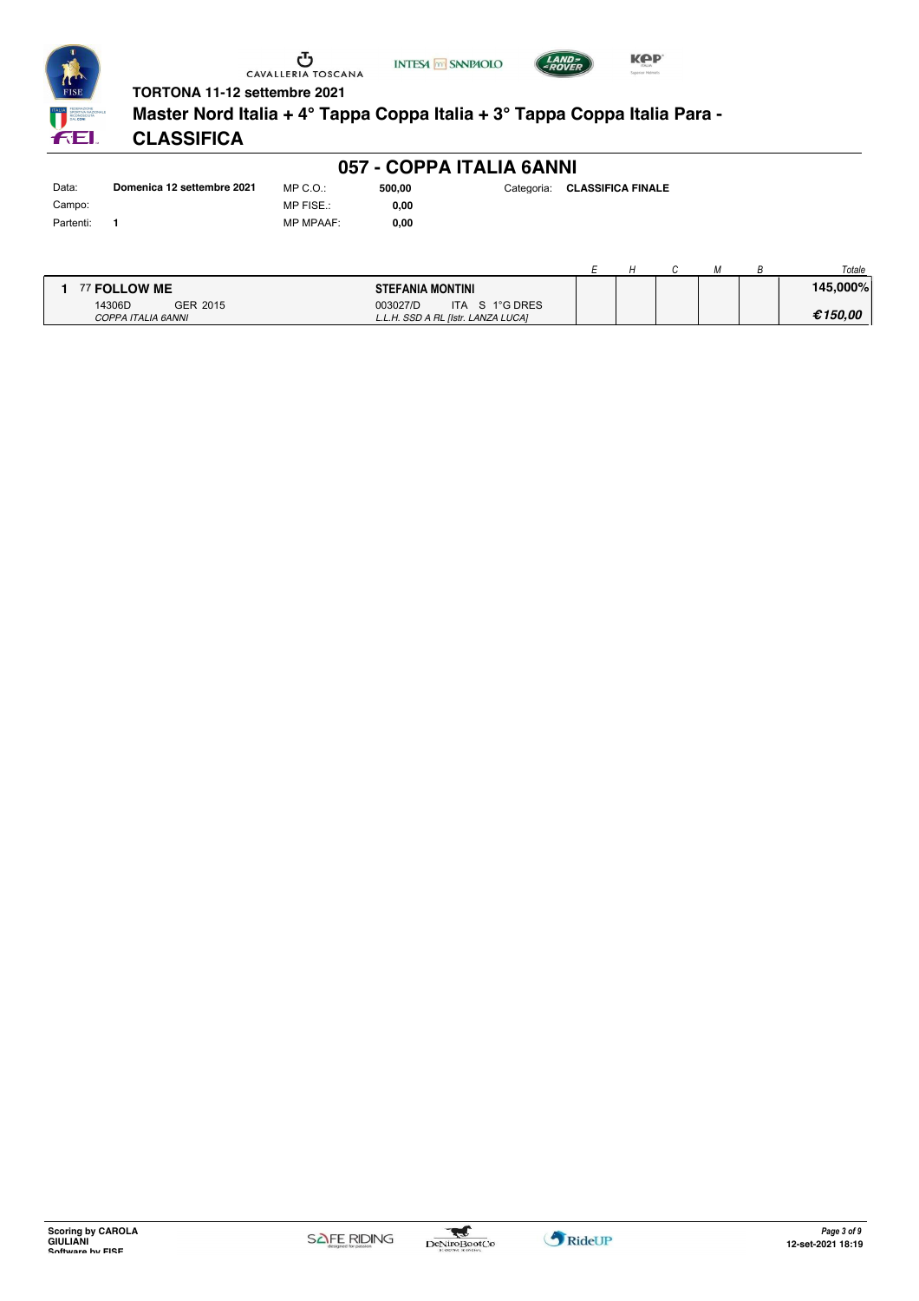



**Master Nord Italia + 4° Tappa Coppa Italia + 3° Tappa Coppa Italia Para -**

**INTESA M** SANPAOLO

# **CLASSIFICA**

|           |                            |                  | 057 - COPPA ITALIA 6ANNI |                              |
|-----------|----------------------------|------------------|--------------------------|------------------------------|
| Data:     | Domenica 12 settembre 2021 | MP C.O.:         | 500.00                   | Categoria: CLASSIFICA FINALE |
| Campo:    |                            | MP FISE.:        | 0.00                     |                              |
| Partenti: |                            | <b>MP MPAAF:</b> | 0.00                     |                              |

|                                          |                                                                  |  |  | Totale   |
|------------------------------------------|------------------------------------------------------------------|--|--|----------|
| 77 FOLLOW ME                             | <b>STEFANIA MONTINI</b>                                          |  |  | 145,000% |
| GER 2015<br>14306D<br>COPPA ITALIA 6ANNI | ITA S 1°G DRES<br>003027/D<br>L.L.H. SSD A RL [Istr. LANZA LUCA] |  |  | €150.00  |





*LAND>*<br>DOVED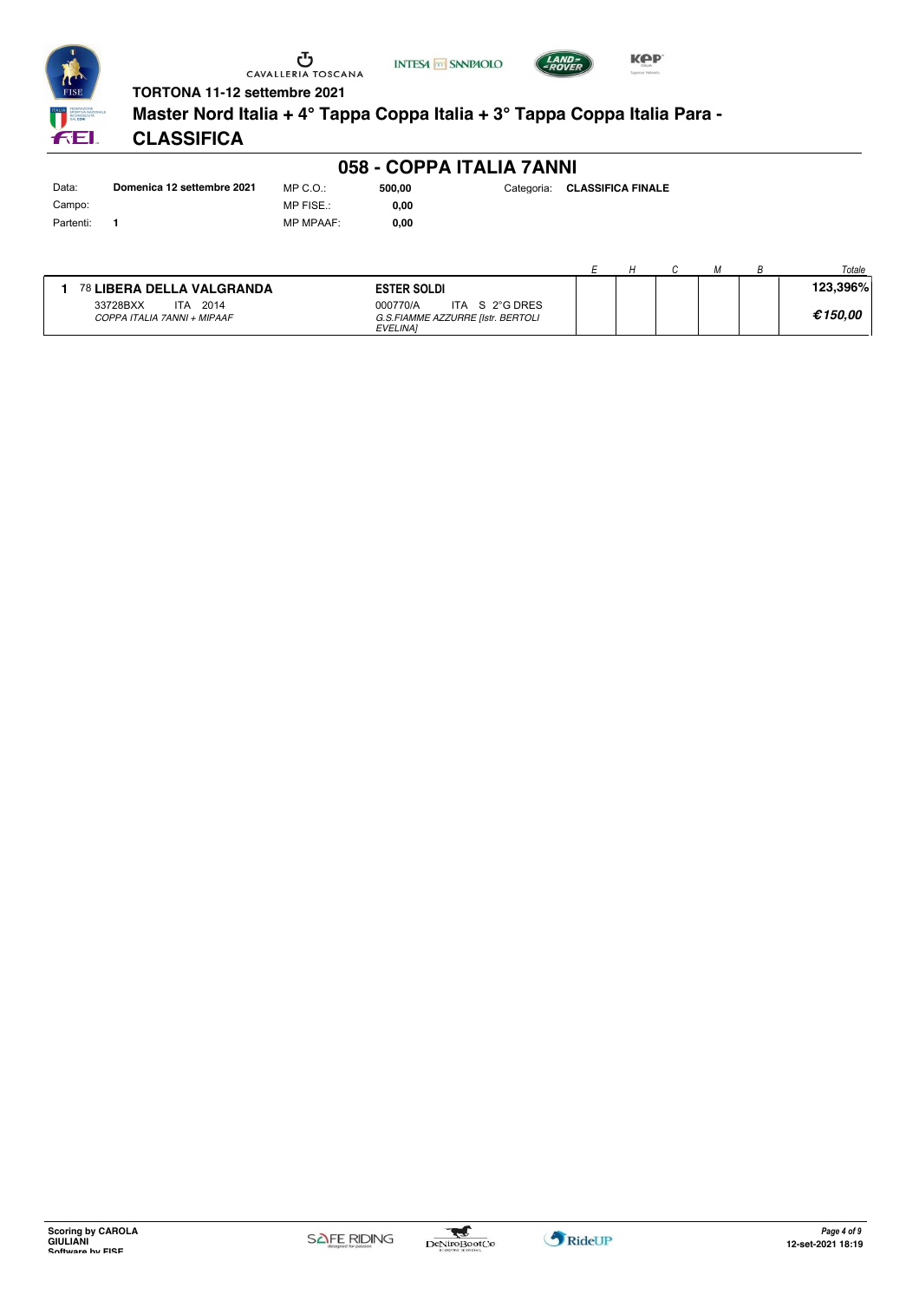





**Master Nord Italia + 4° Tappa Coppa Italia + 3° Tappa Coppa Italia Para -**

# **CLASSIFICA**

| Data:     | Domenica 12 settembre 2021 | $MP C. Q$ .:   |
|-----------|----------------------------|----------------|
| Campo:    |                            | <b>MP FISE</b> |
| Partenti: |                            | <b>MP MPA</b>  |

**058 - COPPA ITALIA 7ANNI**

**500,00** Categoria: **CLASSIFICA FINALE**

 $\mathbb{R}^2$ 

AF: **0,00 0,00**

|                                                        |                                                                                    |  |  | Totale   |
|--------------------------------------------------------|------------------------------------------------------------------------------------|--|--|----------|
| 78 LIBERA DELLA VALGRANDA                              | <b>ESTER SOLDI</b>                                                                 |  |  | 123,396% |
| 2014<br>33728BXX<br>ITA<br>COPPA ITALIA 7ANNI + MIPAAF | ITA S 2°G DRES<br>000770/A<br>G.S.FIAMME AZZURRE [Istr. BERTOLI<br><b>EVELINA1</b> |  |  | €150.00  |

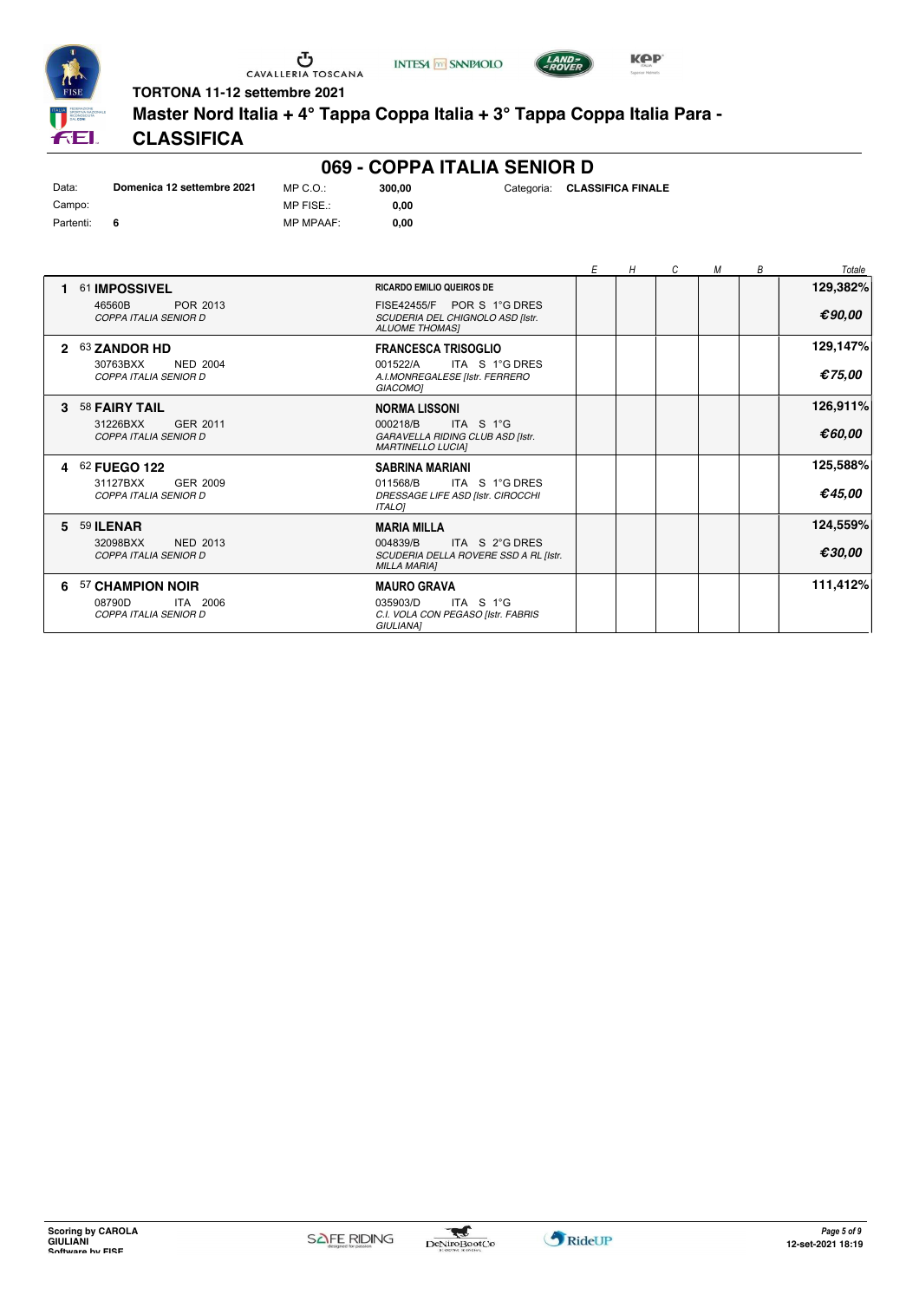





LAND-<br>POVER

**TORTONA 11-12 settembre 2021**

**Master Nord Italia + 4° Tappa Coppa Italia + 3° Tappa Coppa Italia Para -**

# **CLASSIFICA**

|                              |                                                             |                                               | 069 - COPPA ITALIA SENIOR D                                                             |                              |   |   |   |   |   |          |
|------------------------------|-------------------------------------------------------------|-----------------------------------------------|-----------------------------------------------------------------------------------------|------------------------------|---|---|---|---|---|----------|
| Data:<br>Campo:<br>Partenti: | Domenica 12 settembre 2021<br>6                             | $MP C. O.$ :<br>MP FISE.:<br><b>MP MPAAF:</b> | 300,00<br>0,00<br>0,00                                                                  | Categoria: CLASSIFICA FINALE |   |   |   |   |   |          |
|                              |                                                             |                                               |                                                                                         |                              | Е | H | C | М | В | Totale   |
|                              | 61 <b>IMPOSSIVEL</b>                                        |                                               | <b>RICARDO EMILIO QUEIROS DE</b>                                                        |                              |   |   |   |   |   | 129,382% |
|                              | 46560B<br>POR 2013<br><b>COPPA ITALIA SENIOR D</b>          |                                               | FISE42455/F POR S 1°G DRES<br>SCUDERIA DEL CHIGNOLO ASD [Istr.<br><b>ALUOME THOMASI</b> |                              |   |   |   |   |   | €90,00   |
| $\mathbf{p}$                 | 63 ZANDOR HD                                                |                                               | <b>FRANCESCA TRISOGLIO</b>                                                              |                              |   |   |   |   |   | 129,147% |
|                              | <b>NED 2004</b><br>30763BXX<br><b>COPPA ITALIA SENIOR D</b> |                                               | 001522/A<br>A.I.MONREGALESE [Istr. FERRERO<br><b>GIACOMO1</b>                           | ITA S 1°G DRES               |   |   |   |   |   | €75.00   |
| з.                           | 58 FAIRY TAIL                                               |                                               | <b>NORMA LISSONI</b>                                                                    |                              |   |   |   |   |   | 126,911% |
|                              | 31226BXX<br>GER 2011<br>COPPA ITALIA SENIOR D               |                                               | 000218/B<br>GARAVELLA RIDING CLUB ASD [Istr.<br><b>MARTINELLO LUCIAI</b>                | ITA S 1°G                    |   |   |   |   |   | €60,00   |
|                              | 4 62 FUEGO 122                                              |                                               | <b>SABRINA MARIANI</b>                                                                  |                              |   |   |   |   |   | 125,588% |
|                              | 31127BXX<br><b>GER 2009</b><br>CODDA I TAIIA C TNIOD D      |                                               | 011568/B<br>BBECCACE UFF ACB ILL CIBOCCUL                                               | ITA S 1°G DRES               |   |   |   |   |   | £45.00   |

#### *COPPA ITALIA SENIOR D DRESSAGE LIFE ASD [Istr. CIROCCHI ITALO]* **€** *45,00* **5** 59 **ILENAR** 32098BXX NED 2013<br>COPPA ITALIA SENIOR D MARIA MILLA *COPPA ITALIA SENIOR D SCUDERIA DELLA ROVERE SSD A RL [Istr. MILLA MARIA]* 004839/B ITA S 2°G DRES **124,559% €** *30,00* **6** 57 **CHAMPION NOIR** 08790D ITA 2006<br>COPPA ITALIA SENIOR D MAURO GRAVA<br>035903/D IT *COPPA ITALIA SENIOR D C.I. VOLA CON PEGASO [Istr. FABRIS GIULIANA]* 08790D 035903/D ITA S 1°G **111,412%**

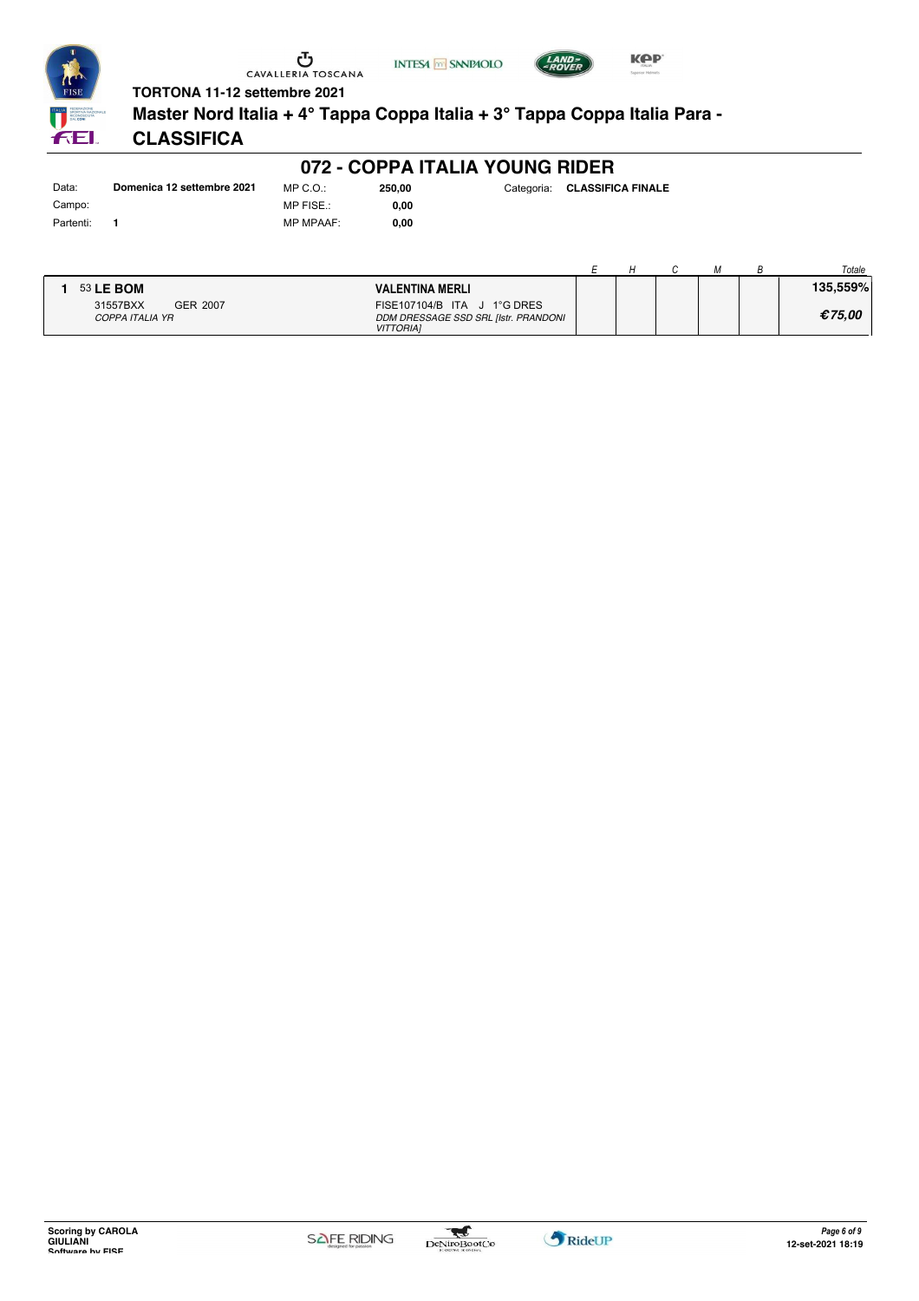





**FEI.** 

# **TORTONA 11-12 settembre 2021**

**Master Nord Italia + 4° Tappa Coppa Italia + 3° Tappa Coppa Italia Para -**

# **CLASSIFICA**

Data: **Domenica 12 settembre 2021** Campo: Partenti: **1**

MP C.O.: MP FISE.: MP MPAAF: **0,00**

| 250,00 | Categoria: CLASSIFICA FINALE |
|--------|------------------------------|
|        |                              |

|        | 0,00 |  |
|--------|------|--|
| ٠<br>٠ | 0,00 |  |

|                             |          |                                                                                         |  |  | Totale   |
|-----------------------------|----------|-----------------------------------------------------------------------------------------|--|--|----------|
| 53 LE BOM                   |          | <b>VALENTINA MERLI</b>                                                                  |  |  | 135.559% |
| 31557BXX<br>COPPA ITALIA YR | GER 2007 | FISE107104/B ITA J 1°G DRES<br>DDM DRESSAGE SSD SRL [Istr. PRANDONI<br><b>VITTORIAI</b> |  |  | €75.00   |

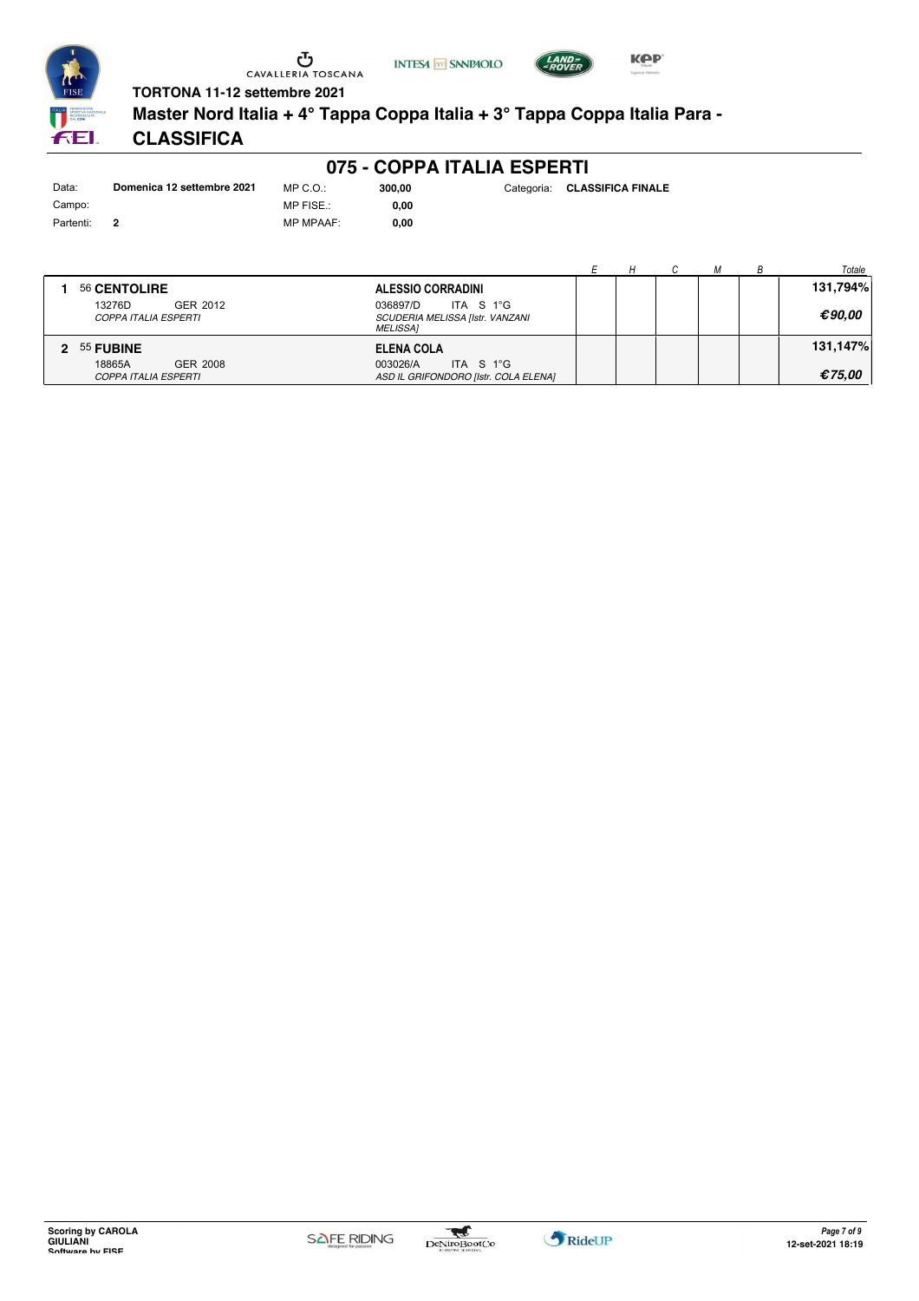





**Master Nord Italia + 4° Tappa Coppa Italia + 3° Tappa Coppa Italia Para -**

# **CLASSIFICA**

| Data:     | Domenica 12 settembre 2021 | $MP C. Q$ .:    |
|-----------|----------------------------|-----------------|
| Campo:    |                            | MP FISE.:       |
| Partenti: | 2                          | <b>MP MPAAF</b> |

**075 - COPPA ITALIA ESPERTI**

MP MPAAF: **0,00 0,00**

|                                                                                  |                                                   |  |  | Totale   |
|----------------------------------------------------------------------------------|---------------------------------------------------|--|--|----------|
| 56 CENTOLIRE                                                                     | <b>ALESSIO CORRADINI</b>                          |  |  | 131,794% |
| 13276D<br>GER 2012<br>036897/D<br><b>COPPA ITALIA ESPERTI</b><br><i>MELISSA1</i> | ITA S 1°G<br>SCUDERIA MELISSA [Istr. VANZANI      |  |  | €90.00   |
| 2 55 FUBINE                                                                      | ELENA COLA                                        |  |  | 131,147% |
| 18865A<br><b>GER 2008</b><br>003026/A<br><b>COPPA ITALIA ESPERTI</b>             | ITA S 1°G<br>ASD IL GRIFONDORO [Istr. COLA ELENA] |  |  | €75.00   |

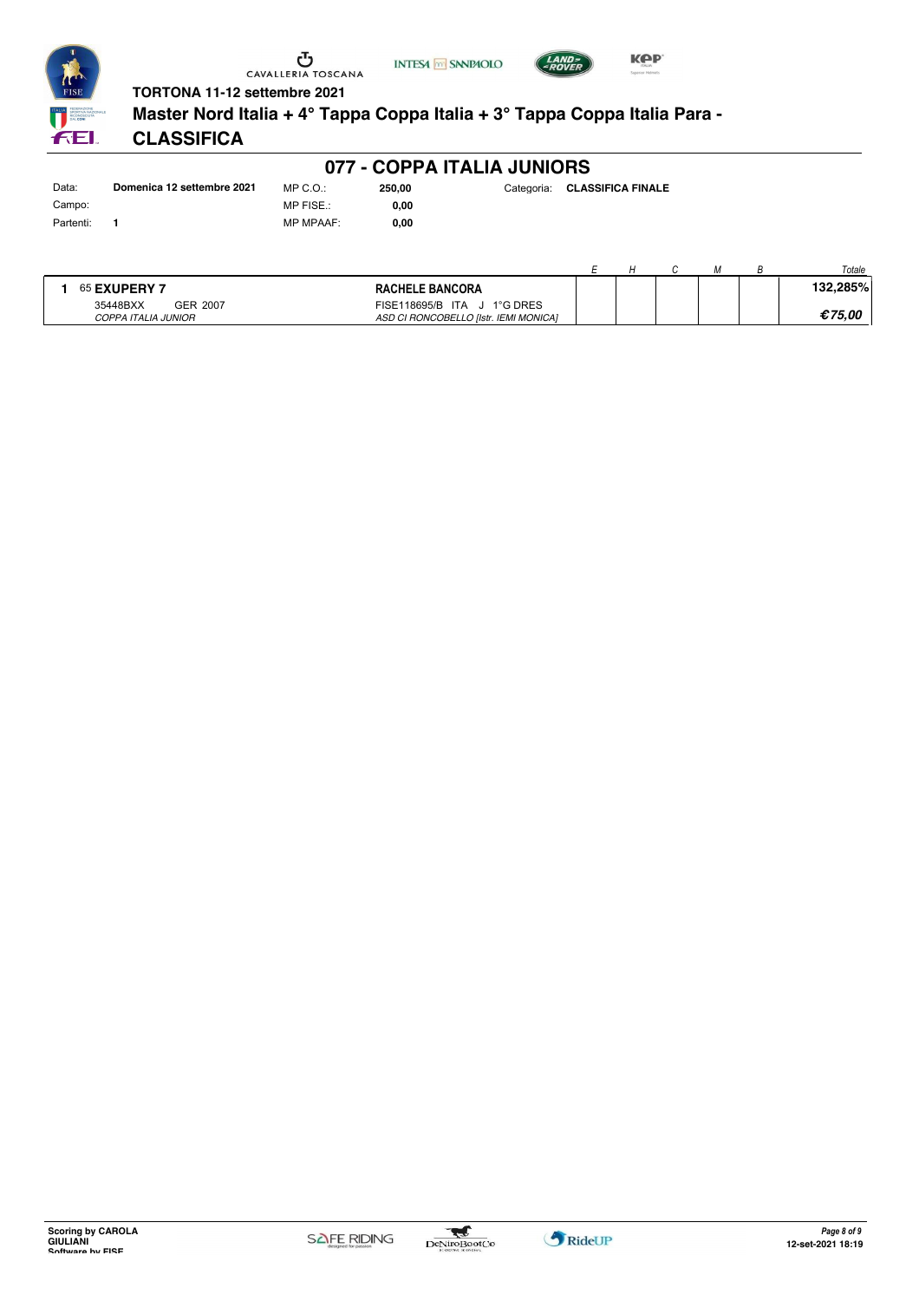





**Master Nord Italia + 4° Tappa Coppa Italia + 3° Tappa Coppa Italia Para -**

# **CLASSIFICA**

| Data:     | Domenica 12 settembre 2021 | MP ( |
|-----------|----------------------------|------|
| Campo:    |                            | MP F |
| Partenti: | 1                          | MP N |

**077 - COPPA ITALIA JUNIORS**

 $3.0.5$  $FISE.$ : MP MPAAF: **0,00**

**0,00**

| 250,00 | Categoria: | <b>CLASSIFICA FINALE</b> |
|--------|------------|--------------------------|
|        |            |                          |

|                                 |                 |                                                                         |  |  | Totale   |
|---------------------------------|-----------------|-------------------------------------------------------------------------|--|--|----------|
| <b>65 EXUPERY 7</b>             |                 | <b>RACHELE BANCORA</b>                                                  |  |  | 132.285% |
| 35448BXX<br>COPPA ITALIA JUNIOR | <b>GER 2007</b> | 1°G DRES<br>FISE118695/B ITA J<br>ASD CI RONCOBELLO IIstr. IEMI MONICAI |  |  | €75.00   |